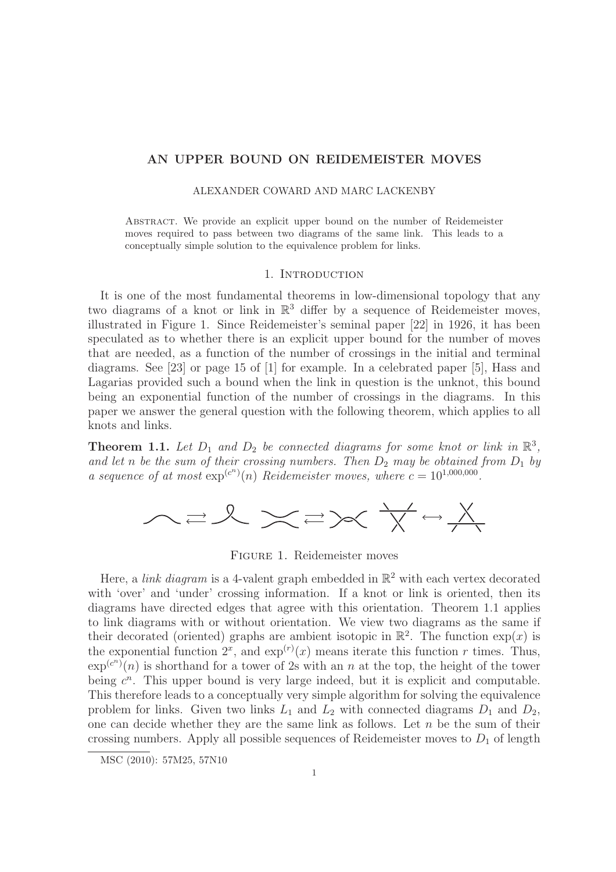## AN UPPER BOUND ON REIDEMEISTER MOVES

## ALEXANDER COWARD AND MARC LACKENBY

Abstract. We provide an explicit upper bound on the number of Reidemeister moves required to pass between two diagrams of the same link. This leads to a conceptually simple solution to the equivalence problem for links.

## 1. INTRODUCTION

It is one of the most fundamental theorems in low-dimensional topology that any two diagrams of a knot or link in  $\mathbb{R}^3$  differ by a sequence of Reidemeister moves, illustrated in Figure 1. Since Reidemeister's seminal paper [22] in 1926, it has been speculated as to whether there is an explicit upper bound for the number of moves that are needed, as a function of the number of crossings in the initial and terminal diagrams. See [23] or page 15 of [1] for example. In a celebrated paper [5], Hass and Lagarias provided such a bound when the link in question is the unknot, this bound being an exponential function of the number of crossings in the diagrams. In this paper we answer the general question with the following theorem, which applies to all knots and links.

**Theorem 1.1.** Let  $D_1$  and  $D_2$  be connected diagrams for some knot or link in  $\mathbb{R}^3$ , and let *n* be the sum of their crossing numbers. Then  $D_2$  may be obtained from  $D_1$  by *a sequence of at most*  $\exp^{(c^n)}(n)$  *Reidemeister moves, where*  $c = 10^{1,000,000}$ .



Figure 1. Reidemeister moves

Here, a *link diagram* is a 4-valent graph embedded in  $\mathbb{R}^2$  with each vertex decorated with 'over' and 'under' crossing information. If a knot or link is oriented, then its diagrams have directed edges that agree with this orientation. Theorem 1.1 applies to link diagrams with or without orientation. We view two diagrams as the same if their decorated (oriented) graphs are ambient isotopic in  $\mathbb{R}^2$ . The function  $\exp(x)$  is the exponential function  $2^x$ , and  $\exp^{(r)}(x)$  means iterate this function r times. Thus,  $\exp^{(c^n)}(n)$  is shorthand for a tower of 2s with an n at the top, the height of the tower being  $c^n$ . This upper bound is very large indeed, but it is explicit and computable. This therefore leads to a conceptually very simple algorithm for solving the equivalence problem for links. Given two links  $L_1$  and  $L_2$  with connected diagrams  $D_1$  and  $D_2$ , one can decide whether they are the same link as follows. Let  $n$  be the sum of their crossing numbers. Apply all possible sequences of Reidemeister moves to  $D_1$  of length

MSC (2010): 57M25, 57N10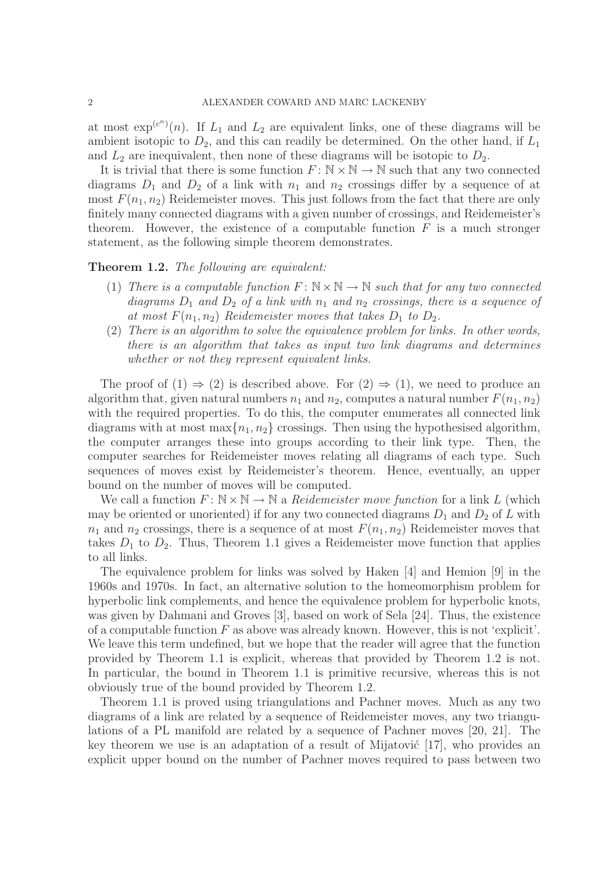at most  $\exp^{(c^n)}(n)$ . If  $L_1$  and  $L_2$  are equivalent links, one of these diagrams will be ambient isotopic to  $D_2$ , and this can readily be determined. On the other hand, if  $L_1$ and  $L_2$  are inequivalent, then none of these diagrams will be isotopic to  $D_2$ .

It is trivial that there is some function  $F: \mathbb{N} \times \mathbb{N} \to \mathbb{N}$  such that any two connected diagrams  $D_1$  and  $D_2$  of a link with  $n_1$  and  $n_2$  crossings differ by a sequence of at most  $F(n_1, n_2)$  Reidemeister moves. This just follows from the fact that there are only finitely many connected diagrams with a given number of crossings, and Reidemeister's theorem. However, the existence of a computable function  $F$  is a much stronger statement, as the following simple theorem demonstrates.

## Theorem 1.2. *The following are equivalent:*

- (1) *There is a computable function*  $F: \mathbb{N} \times \mathbb{N} \to \mathbb{N}$  *such that for any two connected*  $diagrams D_1$  *and*  $D_2$  *of a link with*  $n_1$  *and*  $n_2$  *crossings, there is a sequence of* at most  $F(n_1, n_2)$  *Reidemeister moves that takes*  $D_1$  to  $D_2$ *.*
- (2) *There is an algorithm to solve the equivalence problem for links. In other words, there is an algorithm that takes as input two link diagrams and determines whether or not they represent equivalent links.*

The proof of  $(1) \Rightarrow (2)$  is described above. For  $(2) \Rightarrow (1)$ , we need to produce an algorithm that, given natural numbers  $n_1$  and  $n_2$ , computes a natural number  $F(n_1, n_2)$ with the required properties. To do this, the computer enumerates all connected link diagrams with at most max $\{n_1, n_2\}$  crossings. Then using the hypothesised algorithm, the computer arranges these into groups according to their link type. Then, the computer searches for Reidemeister moves relating all diagrams of each type. Such sequences of moves exist by Reidemeister's theorem. Hence, eventually, an upper bound on the number of moves will be computed.

We call a function  $F: \mathbb{N} \times \mathbb{N} \to \mathbb{N}$  a *Reidemeister move function* for a link L (which may be oriented or unoriented) if for any two connected diagrams  $D_1$  and  $D_2$  of L with  $n_1$  and  $n_2$  crossings, there is a sequence of at most  $F(n_1, n_2)$  Reidemeister moves that takes  $D_1$  to  $D_2$ . Thus, Theorem 1.1 gives a Reidemeister move function that applies to all links.

The equivalence problem for links was solved by Haken [4] and Hemion [9] in the 1960s and 1970s. In fact, an alternative solution to the homeomorphism problem for hyperbolic link complements, and hence the equivalence problem for hyperbolic knots, was given by Dahmani and Groves [3], based on work of Sela [24]. Thus, the existence of a computable function  $F$  as above was already known. However, this is not 'explicit'. We leave this term undefined, but we hope that the reader will agree that the function provided by Theorem 1.1 is explicit, whereas that provided by Theorem 1.2 is not. In particular, the bound in Theorem 1.1 is primitive recursive, whereas this is not obviously true of the bound provided by Theorem 1.2.

Theorem 1.1 is proved using triangulations and Pachner moves. Much as any two diagrams of a link are related by a sequence of Reidemeister moves, any two triangulations of a PL manifold are related by a sequence of Pachner moves [20, 21]. The key theorem we use is an adaptation of a result of Mijatović  $[17]$ , who provides an explicit upper bound on the number of Pachner moves required to pass between two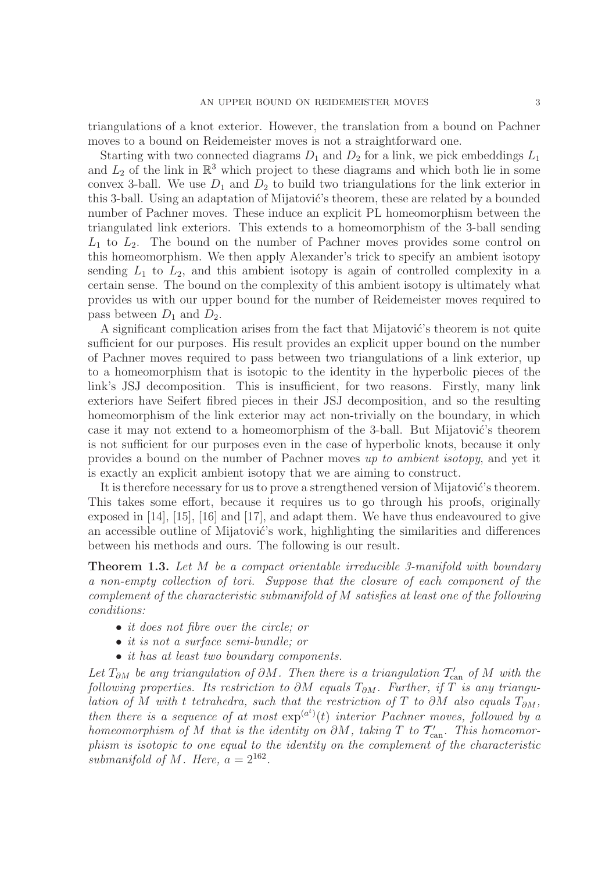triangulations of a knot exterior. However, the translation from a bound on Pachner moves to a bound on Reidemeister moves is not a straightforward one.

Starting with two connected diagrams  $D_1$  and  $D_2$  for a link, we pick embeddings  $L_1$ and  $L_2$  of the link in  $\mathbb{R}^3$  which project to these diagrams and which both lie in some convex 3-ball. We use  $D_1$  and  $D_2$  to build two triangulations for the link exterior in this 3-ball. Using an adaptation of Mijatović's theorem, these are related by a bounded number of Pachner moves. These induce an explicit PL homeomorphism between the triangulated link exteriors. This extends to a homeomorphism of the 3-ball sending  $L_1$  to  $L_2$ . The bound on the number of Pachner moves provides some control on this homeomorphism. We then apply Alexander's trick to specify an ambient isotopy sending  $L_1$  to  $L_2$ , and this ambient isotopy is again of controlled complexity in a certain sense. The bound on the complexity of this ambient isotopy is ultimately what provides us with our upper bound for the number of Reidemeister moves required to pass between  $D_1$  and  $D_2$ .

A significant complication arises from the fact that Mijatović's theorem is not quite sufficient for our purposes. His result provides an explicit upper bound on the number of Pachner moves required to pass between two triangulations of a link exterior, up to a homeomorphism that is isotopic to the identity in the hyperbolic pieces of the link's JSJ decomposition. This is insufficient, for two reasons. Firstly, many link exteriors have Seifert fibred pieces in their JSJ decomposition, and so the resulting homeomorphism of the link exterior may act non-trivially on the boundary, in which case it may not extend to a homeomorphism of the 3-ball. But Mijatović's theorem is not sufficient for our purposes even in the case of hyperbolic knots, because it only provides a bound on the number of Pachner moves *up to ambient isotopy*, and yet it is exactly an explicit ambient isotopy that we are aiming to construct.

It is therefore necessary for us to prove a strengthened version of Mijatović's theorem. This takes some effort, because it requires us to go through his proofs, originally exposed in [14], [15], [16] and [17], and adapt them. We have thus endeavoured to give an accessible outline of Mijatović's work, highlighting the similarities and differences between his methods and ours. The following is our result.

Theorem 1.3. *Let* M *be a compact orientable irreducible 3-manifold with boundary a non-empty collection of tori. Suppose that the closure of each component of the complement of the characteristic submanifold of* M *satisfies at least one of the following conditions:*

- *it does not fibre over the circle; or*
- *it is not a surface semi-bundle; or*
- *it has at least two boundary components.*

 $Let T_{\partial M}$  be any triangulation of  $\partial M$ . Then there is a triangulation  $T'_{\text{can}}$  of M with the *following properties. Its restriction to*  $\partial M$  *equals*  $T_{\partial M}$ *. Further, if*  $T$  *is any triangulation of* M *with* t *tetrahedra, such that the restriction of* T *to* ∂M *also equals*  $T_{\partial M}$ *,* then there is a sequence of at most  $exp<sup>(a<sup>t</sup>)</sup>(t)$  interior Pachner moves, followed by a  $homeomorphism of M$  *that is the identity on*  $\partial M$ , taking  $T$  to  $\mathcal{T}'_{\text{can}}$ . This homeomor*phism is isotopic to one equal to the identity on the complement of the characteristic* submanifold of M. Here,  $a = 2^{162}$ .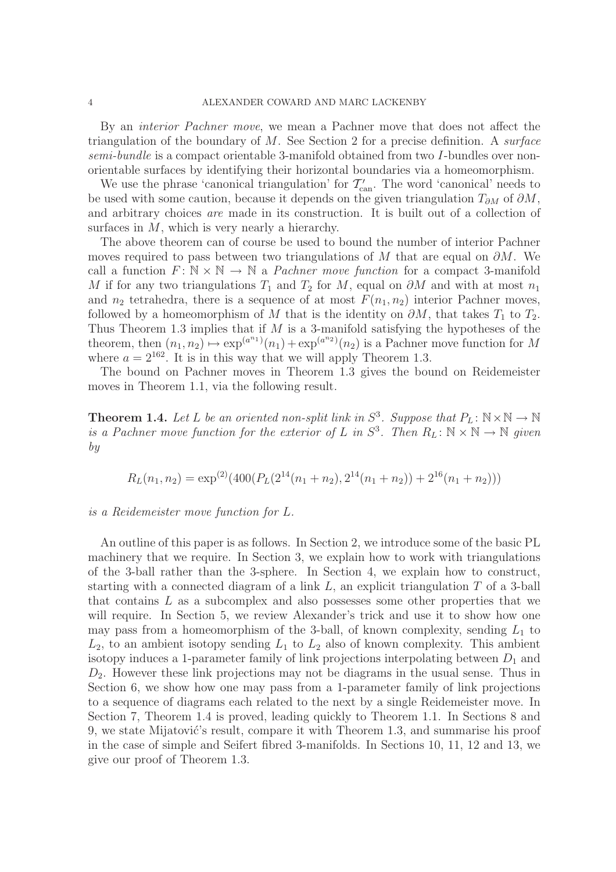By an *interior Pachner move*, we mean a Pachner move that does not affect the triangulation of the boundary of M. See Section 2 for a precise definition. A *surface semi-bundle* is a compact orientable 3-manifold obtained from two I-bundles over nonorientable surfaces by identifying their horizontal boundaries via a homeomorphism.

We use the phrase 'canonical triangulation' for  $\mathcal{T}'_{\text{can}}$ . The word 'canonical' needs to be used with some caution, because it depends on the given triangulation  $T_{\partial M}$  of  $\partial M$ , and arbitrary choices *are* made in its construction. It is built out of a collection of surfaces in  $M$ , which is very nearly a hierarchy.

The above theorem can of course be used to bound the number of interior Pachner moves required to pass between two triangulations of M that are equal on  $\partial M$ . We call a function  $F: \mathbb{N} \times \mathbb{N} \to \mathbb{N}$  a *Pachner move function* for a compact 3-manifold M if for any two triangulations  $T_1$  and  $T_2$  for M, equal on  $\partial M$  and with at most  $n_1$ and  $n_2$  tetrahedra, there is a sequence of at most  $F(n_1, n_2)$  interior Pachner moves, followed by a homeomorphism of M that is the identity on  $\partial M$ , that takes  $T_1$  to  $T_2$ . Thus Theorem 1.3 implies that if  $M$  is a 3-manifold satisfying the hypotheses of the theorem, then  $(n_1, n_2) \mapsto \exp^{(a^{n_1})}(n_1) + \exp^{(a^{n_2})}(n_2)$  is a Pachner move function for M where  $a = 2^{162}$ . It is in this way that we will apply Theorem 1.3.

The bound on Pachner moves in Theorem 1.3 gives the bound on Reidemeister moves in Theorem 1.1, via the following result.

**Theorem 1.4.** Let L be an oriented non-split link in  $S^3$ . Suppose that  $P_L: \mathbb{N} \times \mathbb{N} \to \mathbb{N}$ *is a Pachner move function for the exterior of* L *in*  $S^3$ . Then  $R_L: \mathbb{N} \times \mathbb{N} \to \mathbb{N}$  given *by*

$$
R_L(n_1, n_2) = \exp^{(2)}(400(P_L(2^{14}(n_1 + n_2), 2^{14}(n_1 + n_2))) + 2^{16}(n_1 + n_2)))
$$

*is a Reidemeister move function for* L*.*

An outline of this paper is as follows. In Section 2, we introduce some of the basic PL machinery that we require. In Section 3, we explain how to work with triangulations of the 3-ball rather than the 3-sphere. In Section 4, we explain how to construct, starting with a connected diagram of a link  $L$ , an explicit triangulation  $T$  of a 3-ball that contains  $L$  as a subcomplex and also possesses some other properties that we will require. In Section 5, we review Alexander's trick and use it to show how one may pass from a homeomorphism of the 3-ball, of known complexity, sending  $L_1$  to  $L_2$ , to an ambient isotopy sending  $L_1$  to  $L_2$  also of known complexity. This ambient isotopy induces a 1-parameter family of link projections interpolating between  $D_1$  and  $D_2$ . However these link projections may not be diagrams in the usual sense. Thus in Section 6, we show how one may pass from a 1-parameter family of link projections to a sequence of diagrams each related to the next by a single Reidemeister move. In Section 7, Theorem 1.4 is proved, leading quickly to Theorem 1.1. In Sections 8 and 9, we state Mijatović's result, compare it with Theorem 1.3, and summarise his proof in the case of simple and Seifert fibred 3-manifolds. In Sections 10, 11, 12 and 13, we give our proof of Theorem 1.3.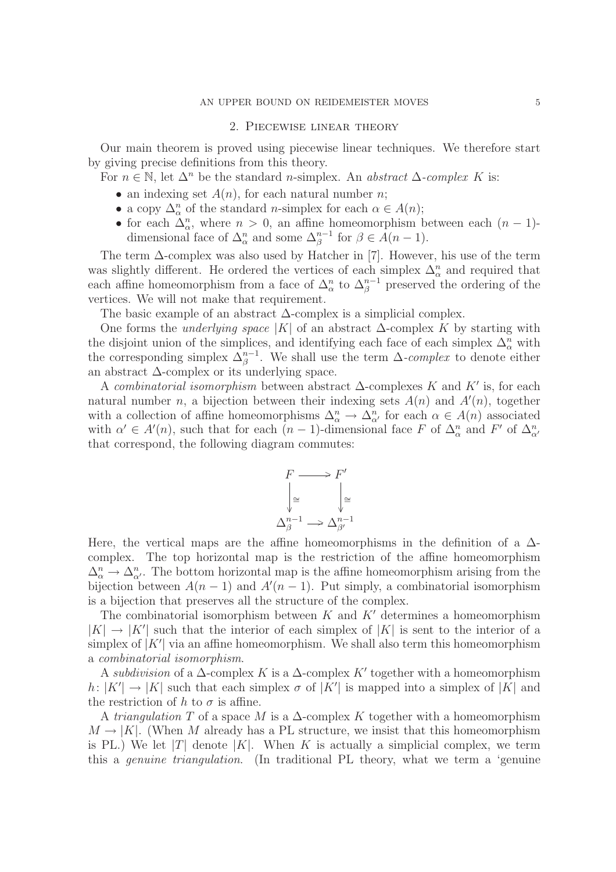#### 2. Piecewise linear theory

Our main theorem is proved using piecewise linear techniques. We therefore start by giving precise definitions from this theory.

For  $n \in \mathbb{N}$ , let  $\Delta^n$  be the standard *n*-simplex. An *abstract*  $\Delta$ -complex K is:

- an indexing set  $A(n)$ , for each natural number n;
- a copy  $\Delta_{\alpha}^n$  of the standard *n*-simplex for each  $\alpha \in A(n)$ ;
- for each  $\Delta_{\alpha}^n$ , where  $n > 0$ , an affine homeomorphism between each  $(n-1)$ dimensional face of  $\Delta_{\alpha}^{n}$  and some  $\Delta_{\beta}^{n-1}$  for  $\beta \in \mathring{A}(n-1)$ .

The term  $\Delta$ -complex was also used by Hatcher in [7]. However, his use of the term was slightly different. He ordered the vertices of each simplex  $\Delta_{\alpha}^{n}$  and required that each affine homeomorphism from a face of  $\Delta_{\alpha}^{n}$  to  $\Delta_{\beta}^{n-1}$  preserved the ordering of the vertices. We will not make that requirement.

The basic example of an abstract  $\Delta$ -complex is a simplicial complex.

One forms the *underlying space* |K| of an abstract ∆-complex K by starting with the disjoint union of the simplices, and identifying each face of each simplex  $\Delta^n_{\alpha}$  with the corresponding simplex  $\Delta_{\beta}^{n-1}$ . We shall use the term  $\Delta$ -complex to denote either an abstract ∆-complex or its underlying space.

A *combinatorial isomorphism* between abstract ∆-complexes K and K′ is, for each natural number n, a bijection between their indexing sets  $A(n)$  and  $A'(n)$ , together with a collection of affine homeomorphisms  $\Delta^n_\alpha \to \Delta^n_{\alpha'}$  for each  $\alpha \in A(n)$  associated with  $\alpha' \in A'(n)$ , such that for each  $(n-1)$ -dimensional face F of  $\Delta^n_{\alpha}$  and F' of  $\Delta^n_{\alpha'}$ that correspond, the following diagram commutes:



Here, the vertical maps are the affine homeomorphisms in the definition of a  $\Delta$ complex. The top horizontal map is the restriction of the affine homeomorphism  $\Delta^n_{\alpha} \to \Delta^n_{\alpha'}$ . The bottom horizontal map is the affine homeomorphism arising from the bijection between  $A(n-1)$  and  $A'(n-1)$ . Put simply, a combinatorial isomorphism is a bijection that preserves all the structure of the complex.

The combinatorial isomorphism between K and  $K'$  determines a homeomorphism  $|K| \to |K'|$  such that the interior of each simplex of  $|K|$  is sent to the interior of a simplex of  $|K'|$  via an affine homeomorphism. We shall also term this homeomorphism a *combinatorial isomorphism*.

A *subdivision* of a  $\Delta$ -complex K is a  $\Delta$ -complex K' together with a homeomorphism  $h: |K'| \to |K|$  such that each simplex  $\sigma$  of  $|K'|$  is mapped into a simplex of  $|K|$  and the restriction of h to  $\sigma$  is affine.

A *triangulation* T of a space M is a  $\Delta$ -complex K together with a homeomorphism  $M \to |K|$ . (When M already has a PL structure, we insist that this homeomorphism is PL.) We let |T| denote  $|K|$ . When K is actually a simplicial complex, we term this a *genuine triangulation*. (In traditional PL theory, what we term a 'genuine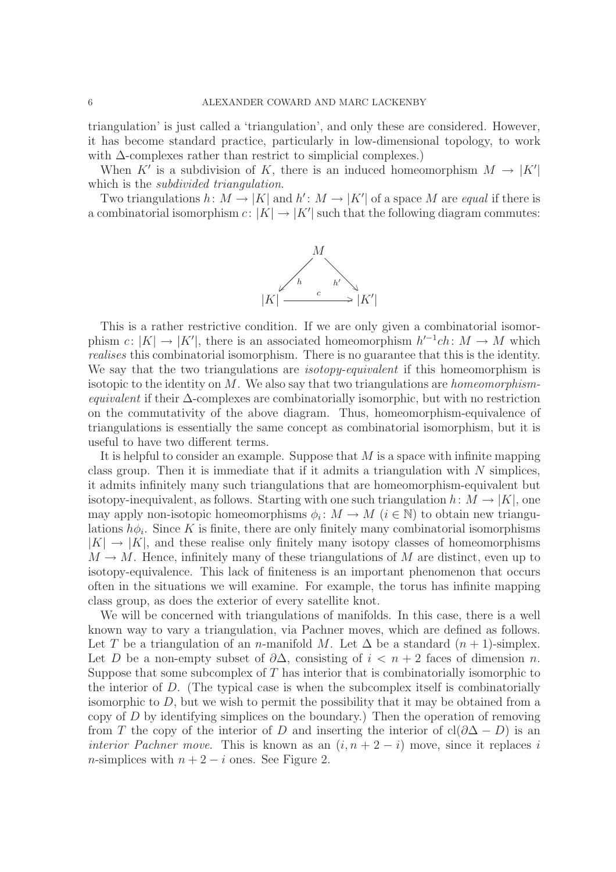triangulation' is just called a 'triangulation', and only these are considered. However, it has become standard practice, particularly in low-dimensional topology, to work with ∆-complexes rather than restrict to simplicial complexes.)

When K' is a subdivision of K, there is an induced homeomorphism  $M \to |K'|$ which is the *subdivided triangulation*.

Two triangulations  $h: M \to |K|$  and  $h': M \to |K'|$  of a space M are *equal* if there is a combinatorial isomorphism  $c: |K| \to |K'|$  such that the following diagram commutes:



This is a rather restrictive condition. If we are only given a combinatorial isomorphism  $c: |K| \to |K'|$ , there is an associated homeomorphism  $h'^{-1}ch: M \to M$  which *realises* this combinatorial isomorphism. There is no guarantee that this is the identity. We say that the two triangulations are *isotopy-equivalent* if this homeomorphism is isotopic to the identity on M. We also say that two triangulations are *homeomorphismequivalent* if their ∆-complexes are combinatorially isomorphic, but with no restriction on the commutativity of the above diagram. Thus, homeomorphism-equivalence of triangulations is essentially the same concept as combinatorial isomorphism, but it is useful to have two different terms.

It is helpful to consider an example. Suppose that  $M$  is a space with infinite mapping class group. Then it is immediate that if it admits a triangulation with  $N$  simplices, it admits infinitely many such triangulations that are homeomorphism-equivalent but isotopy-inequivalent, as follows. Starting with one such triangulation  $h: M \to |K|$ , one may apply non-isotopic homeomorphisms  $\phi_i: M \to M$   $(i \in \mathbb{N})$  to obtain new triangulations  $h\phi_i$ . Since K is finite, there are only finitely many combinatorial isomorphisms  $|K| \to |K|$ , and these realise only finitely many isotopy classes of homeomorphisms  $M \to M$ . Hence, infinitely many of these triangulations of M are distinct, even up to isotopy-equivalence. This lack of finiteness is an important phenomenon that occurs often in the situations we will examine. For example, the torus has infinite mapping class group, as does the exterior of every satellite knot.

We will be concerned with triangulations of manifolds. In this case, there is a well known way to vary a triangulation, via Pachner moves, which are defined as follows. Let T be a triangulation of an n-manifold M. Let  $\Delta$  be a standard  $(n + 1)$ -simplex. Let D be a non-empty subset of  $\partial \Delta$ , consisting of  $i < n+2$  faces of dimension n. Suppose that some subcomplex of  $T$  has interior that is combinatorially isomorphic to the interior of  $D$ . (The typical case is when the subcomplex itself is combinatorially isomorphic to  $D$ , but we wish to permit the possibility that it may be obtained from a copy of D by identifying simplices on the boundary.) Then the operation of removing from T the copy of the interior of D and inserting the interior of  $cl(\partial \Delta - D)$  is an *interior Pachner move.* This is known as an  $(i, n + 2 - i)$  move, since it replaces i n-simplices with  $n + 2 - i$  ones. See Figure 2.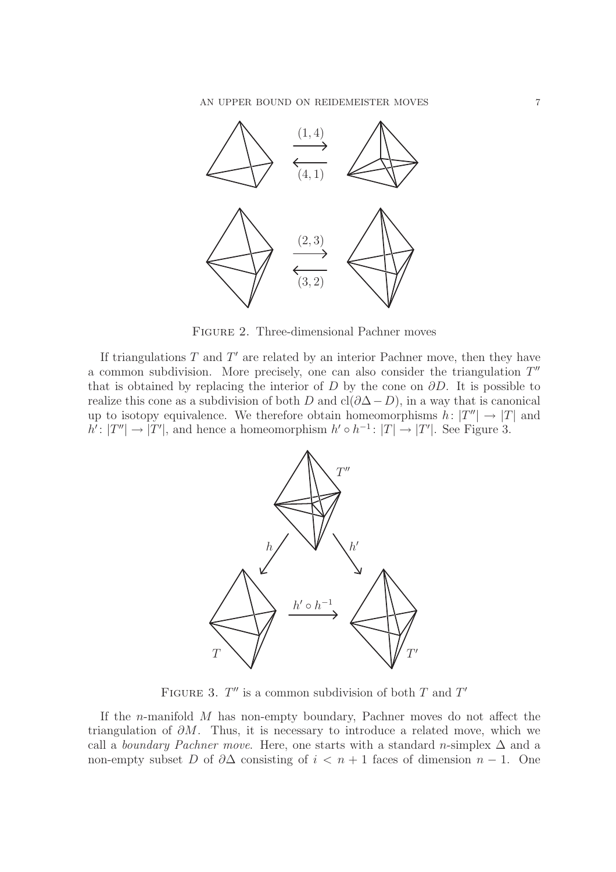

Figure 2. Three-dimensional Pachner moves

If triangulations  $T$  and  $T'$  are related by an interior Pachner move, then they have a common subdivision. More precisely, one can also consider the triangulation  $T''$ that is obtained by replacing the interior of D by the cone on  $\partial D$ . It is possible to realize this cone as a subdivision of both D and cl( $\partial \Delta - D$ ), in a way that is canonical up to isotopy equivalence. We therefore obtain homeomorphisms  $h: |T''| \to |T|$  and  $h': |T''| \to |T'|$ , and hence a homeomorphism  $h' \circ h^{-1}: |T| \to |T'|$ . See Figure 3.



FIGURE 3.  $T''$  is a common subdivision of both T and T'

If the *n*-manifold  $M$  has non-empty boundary, Pachner moves do not affect the triangulation of  $\partial M$ . Thus, it is necessary to introduce a related move, which we call a *boundary Pachner move*. Here, one starts with a standard n-simplex  $\Delta$  and a non-empty subset D of  $\partial \Delta$  consisting of  $i < n + 1$  faces of dimension  $n - 1$ . One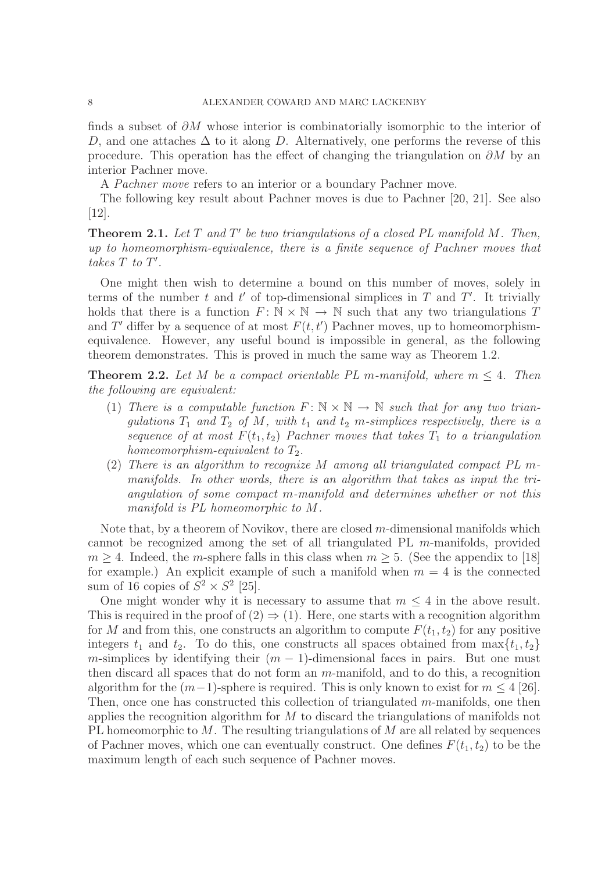finds a subset of  $\partial M$  whose interior is combinatorially isomorphic to the interior of D, and one attaches  $\Delta$  to it along D. Alternatively, one performs the reverse of this procedure. This operation has the effect of changing the triangulation on  $\partial M$  by an interior Pachner move.

A *Pachner move* refers to an interior or a boundary Pachner move.

The following key result about Pachner moves is due to Pachner [20, 21]. See also [12].

Theorem 2.1. *Let* T *and* T ′ *be two triangulations of a closed PL manifold* M*. Then, up to homeomorphism-equivalence, there is a finite sequence of Pachner moves that*  $takes T to T'.$ 

One might then wish to determine a bound on this number of moves, solely in terms of the number t and t' of top-dimensional simplices in  $T$  and  $T'$ . It trivially holds that there is a function  $F: \mathbb{N} \times \mathbb{N} \to \mathbb{N}$  such that any two triangulations T and T' differ by a sequence of at most  $F(t, t')$  Pachner moves, up to homeomorphismequivalence. However, any useful bound is impossible in general, as the following theorem demonstrates. This is proved in much the same way as Theorem 1.2.

**Theorem 2.2.** Let M be a compact orientable PL m-manifold, where  $m \leq 4$ . Then *the following are equivalent:*

- (1) *There is a computable function*  $F: \mathbb{N} \times \mathbb{N} \to \mathbb{N}$  *such that for any two trian* $gulations T_1$  and  $T_2$  of M, with  $t_1$  and  $t_2$  m-simplices respectively, there is a sequence of at most  $F(t_1, t_2)$  *Pachner moves that takes*  $T_1$  *to a triangulation homeomorphism-equivalent to*  $T_2$ .
- (2) *There is an algorithm to recognize* M *among all triangulated compact PL* m*manifolds. In other words, there is an algorithm that takes as input the triangulation of some compact* m*-manifold and determines whether or not this manifold is PL homeomorphic to* M*.*

Note that, by a theorem of Novikov, there are closed m-dimensional manifolds which cannot be recognized among the set of all triangulated PL m-manifolds, provided  $m \geq 4$ . Indeed, the *m*-sphere falls in this class when  $m \geq 5$ . (See the appendix to [18] for example.) An explicit example of such a manifold when  $m = 4$  is the connected sum of 16 copies of  $S^2 \times S^2$  [25].

One might wonder why it is necessary to assume that  $m \leq 4$  in the above result. This is required in the proof of  $(2) \Rightarrow (1)$ . Here, one starts with a recognition algorithm for M and from this, one constructs an algorithm to compute  $F(t_1, t_2)$  for any positive integers  $t_1$  and  $t_2$ . To do this, one constructs all spaces obtained from  $\max\{t_1, t_2\}$ m-simplices by identifying their  $(m - 1)$ -dimensional faces in pairs. But one must then discard all spaces that do not form an m-manifold, and to do this, a recognition algorithm for the  $(m-1)$ -sphere is required. This is only known to exist for  $m \leq 4$  [26]. Then, once one has constructed this collection of triangulated  $m$ -manifolds, one then applies the recognition algorithm for  $M$  to discard the triangulations of manifolds not PL homeomorphic to  $M$ . The resulting triangulations of  $M$  are all related by sequences of Pachner moves, which one can eventually construct. One defines  $F(t_1, t_2)$  to be the maximum length of each such sequence of Pachner moves.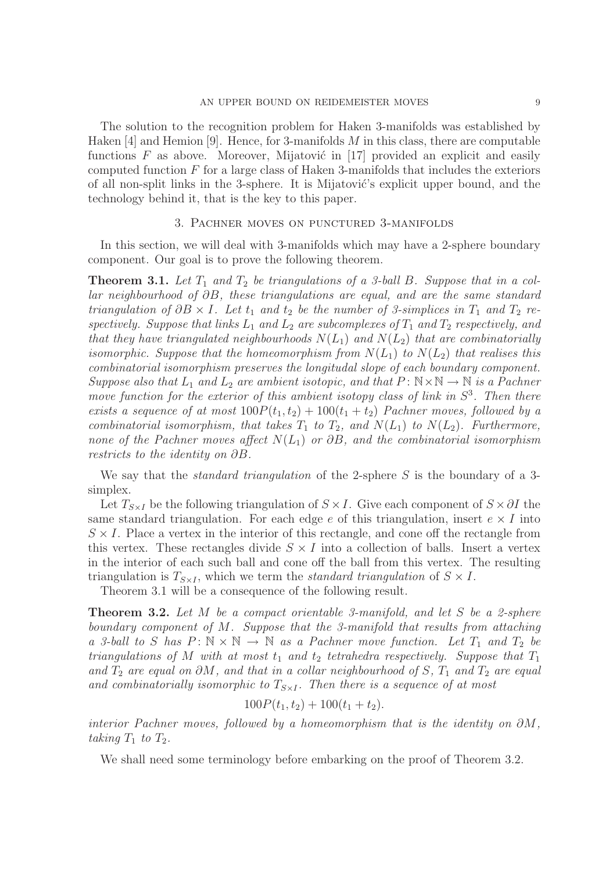The solution to the recognition problem for Haken 3-manifolds was established by Haken  $[4]$  and Hemion  $[9]$ . Hence, for 3-manifolds M in this class, there are computable functions  $F$  as above. Moreover, Mijatović in [17] provided an explicit and easily computed function  $F$  for a large class of Haken 3-manifolds that includes the exteriors of all non-split links in the 3-sphere. It is Mijatović's explicit upper bound, and the technology behind it, that is the key to this paper.

#### 3. Pachner moves on punctured 3-manifolds

In this section, we will deal with 3-manifolds which may have a 2-sphere boundary component. Our goal is to prove the following theorem.

**Theorem 3.1.** Let  $T_1$  and  $T_2$  be triangulations of a 3-ball B. Suppose that in a col*lar neighbourhood of* ∂B*, these triangulations are equal, and are the same standard triangulation of*  $\partial B \times I$ *. Let*  $t_1$  *and*  $t_2$  *be the number of 3-simplices in*  $T_1$  *and*  $T_2$  *re*spectively. Suppose that links  $L_1$  and  $L_2$  are subcomplexes of  $T_1$  and  $T_2$  respectively, and *that they have triangulated neighbourhoods*  $N(L_1)$  *and*  $N(L_2)$  *that are combinatorially isomorphic. Suppose that the homeomorphism from*  $N(L_1)$  *to*  $N(L_2)$  *that realises this combinatorial isomorphism preserves the longitudal slope of each boundary component. Suppose also that*  $L_1$  *and*  $L_2$  *are ambient isotopic, and that*  $P: N \times N \rightarrow N$  *is a Pachner move function for the exterior of this ambient isotopy class of link in*  $S^3$ . Then there *exists a sequence of at most*  $100P(t_1, t_2) + 100(t_1 + t_2)$  *Pachner moves, followed by a combinatorial isomorphism, that takes*  $T_1$  *to*  $T_2$ *, and*  $N(L_1)$  *to*  $N(L_2)$ *. Furthermore, none of the Pachner moves affect* N(L1) *or* ∂B*, and the combinatorial isomorphism restricts to the identity on* ∂B*.*

We say that the *standard triangulation* of the 2-sphere S is the boundary of a 3 simplex.

Let  $T_{S\times I}$  be the following triangulation of  $S\times I$ . Give each component of  $S\times \partial I$  the same standard triangulation. For each edge e of this triangulation, insert  $e \times I$  into  $S \times I$ . Place a vertex in the interior of this rectangle, and cone off the rectangle from this vertex. These rectangles divide  $S \times I$  into a collection of balls. Insert a vertex in the interior of each such ball and cone off the ball from this vertex. The resulting triangulation is  $T_{S\times I}$ , which we term the *standard triangulation* of  $S \times I$ .

Theorem 3.1 will be a consequence of the following result.

Theorem 3.2. *Let* M *be a compact orientable 3-manifold, and let* S *be a 2-sphere boundary component of* M*. Suppose that the 3-manifold that results from attaching a* 3-ball to S has  $P: \mathbb{N} \times \mathbb{N} \to \mathbb{N}$  as a Pachner move function. Let  $T_1$  and  $T_2$  be *triangulations of*  $M$  *with at most*  $t_1$  *and*  $t_2$  *tetrahedra respectively. Suppose that*  $T_1$ *and*  $T_2$  *are equal on*  $\partial M$ *, and that in a collar neighbourhood of* S,  $T_1$  *and*  $T_2$  *are equal* and combinatorially isomorphic to  $T_{S\times I}$ . Then there is a sequence of at most

$$
100P(t_1, t_2) + 100(t_1 + t_2).
$$

*interior Pachner moves, followed by a homeomorphism that is the identity on* ∂M*, taking*  $T_1$  *to*  $T_2$ *.* 

We shall need some terminology before embarking on the proof of Theorem 3.2.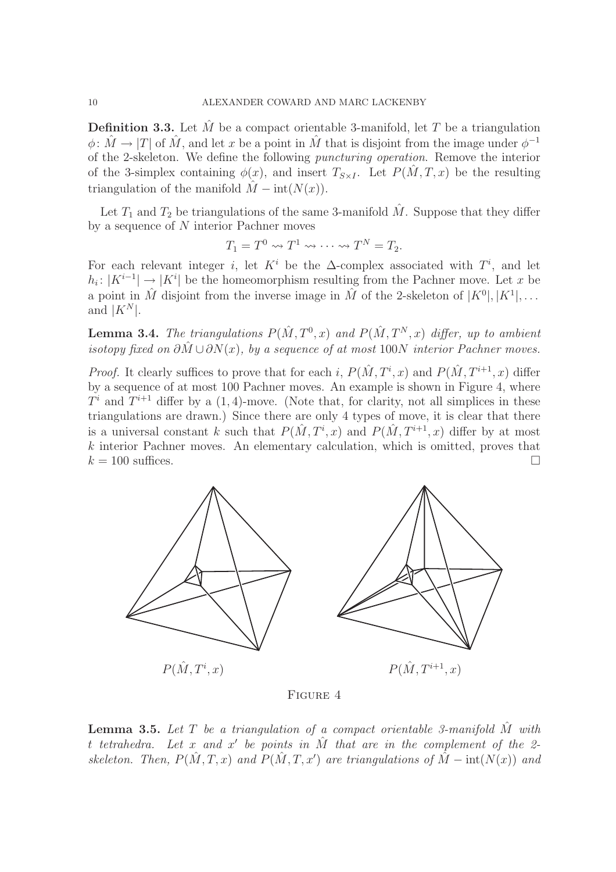**Definition 3.3.** Let  $\tilde{M}$  be a compact orientable 3-manifold, let  $T$  be a triangulation  $\phi: \hat{M} \to |T|$  of  $\hat{M}$ , and let x be a point in  $\hat{M}$  that is disjoint from the image under  $\phi^{-1}$ of the 2-skeleton. We define the following *puncturing operation*. Remove the interior of the 3-simplex containing  $\phi(x)$ , and insert  $T_{S\times I}$ . Let  $P(M, T, x)$  be the resulting triangulation of the manifold  $\hat{M}$  – int $(N(x))$ .

Let  $T_1$  and  $T_2$  be triangulations of the same 3-manifold  $\hat{M}$ . Suppose that they differ by a sequence of N interior Pachner moves

$$
T_1 = T^0 \rightsquigarrow T^1 \rightsquigarrow \cdots \rightsquigarrow T^N = T_2.
$$

For each relevant integer *i*, let  $K^i$  be the  $\Delta$ -complex associated with  $T^i$ , and let  $h_i: |K^{i-1}|$  →  $|K^i|$  be the homeomorphism resulting from the Pachner move. Let x be a point in  $\hat{M}$  disjoint from the inverse image in  $\hat{M}$  of the 2-skeleton of  $|K^0|, |K^1|, \dots$ and  $|K^N|$ .

**Lemma 3.4.** The triangulations  $P(\hat{M}, T^0, x)$  and  $P(\hat{M}, T^N, x)$  differ, up to ambient *isotopy fixed on*  $\partial \hat{M} \cup \partial N(x)$ , by a sequence of at most 100N interior Pachner moves.

*Proof.* It clearly suffices to prove that for each i,  $P(\hat{M}, T^i, x)$  and  $P(\hat{M}, T^{i+1}, x)$  differ by a sequence of at most 100 Pachner moves. An example is shown in Figure 4, where  $T<sup>i</sup>$  and  $T<sup>i+1</sup>$  differ by a  $(1, 4)$ -move. (Note that, for clarity, not all simplices in these triangulations are drawn.) Since there are only 4 types of move, it is clear that there is a universal constant k such that  $P(\hat{M}, T^i, x)$  and  $P(\hat{M}, T^{i+1}, x)$  differ by at most  $k$  interior Pachner moves. An elementary calculation, which is omitted, proves that  $k = 100$  suffices.



Figure 4

**Lemma 3.5.** Let  $T$  be a triangulation of a compact orientable 3-manifold  $\hat{M}$  with t *tetrahedra. Let* x *and* x ′ *be points in* Mˆ *that are in the complement of the 2 skeleton.* Then,  $P(\hat{M}, T, x)$  and  $P(\hat{M}, T, x')$  are triangulations of  $\hat{M} - \text{int}(N(x))$  and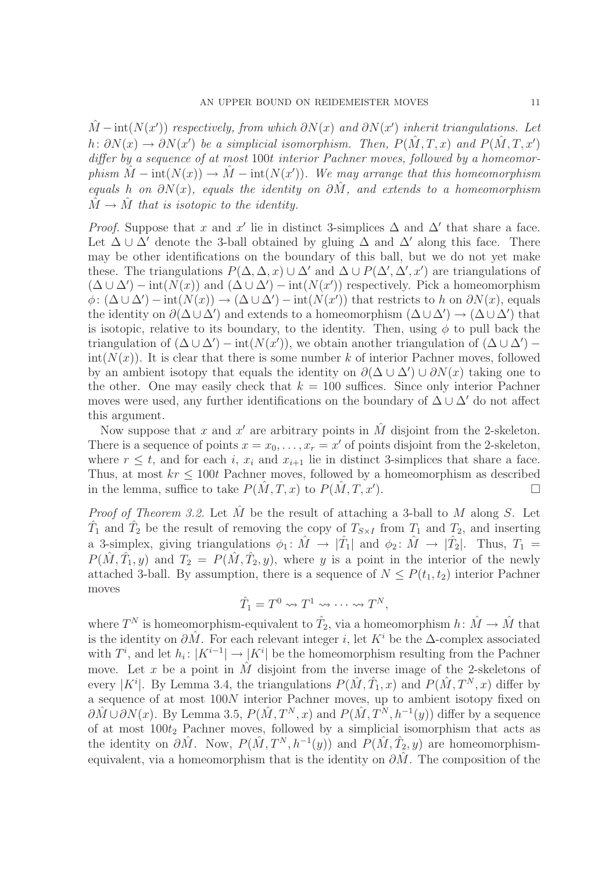$\hat{M}$  – int( $N(x')$ ) *respectively, from which*  $\partial N(x)$  *and*  $\partial N(x')$  *inherit triangulations. Let*  $h: \partial N(x) \to \partial N(x')$  be a simplicial isomorphism. Then,  $P(\hat{M}, T, x)$  and  $P(\hat{M}, T, x')$ *differ by a sequence of at most* 100t *interior Pachner moves, followed by a homeomor* $phism \hat{M} - int(N(x)) \to \hat{M} - int(N(x'))$ . We may arrange that this homeomorphism *equals* h *on* ∂N(x)*, equals the identity on* ∂Mˆ *, and extends to a homeomorphism*  $\hat{M} \rightarrow \hat{M}$  that is isotopic to the identity.

*Proof.* Suppose that x and x' lie in distinct 3-simplices  $\Delta$  and  $\Delta'$  that share a face. Let  $\Delta \cup \Delta'$  denote the 3-ball obtained by gluing  $\Delta$  and  $\Delta'$  along this face. There may be other identifications on the boundary of this ball, but we do not yet make these. The triangulations  $P(\Delta, \Delta, x) \cup \Delta'$  and  $\Delta \cup P(\Delta', \Delta', x')$  are triangulations of  $(\Delta \cup \Delta') - \text{int}(N(x))$  and  $(\Delta \cup \Delta') - \text{int}(N(x'))$  respectively. Pick a homeomorphism  $\phi: (\Delta \cup \Delta') - \text{int}(N(x)) \to (\Delta \cup \Delta') - \text{int}(N(x'))$  that restricts to h on  $\partial N(x)$ , equals the identity on  $\partial(\Delta \cup \Delta')$  and extends to a homeomorphism  $(\Delta \cup \Delta') \to (\Delta \cup \Delta')$  that is isotopic, relative to its boundary, to the identity. Then, using  $\phi$  to pull back the triangulation of  $(\Delta \cup \Delta') - \text{int}(N(x'))$ , we obtain another triangulation of  $(\Delta \cup \Delta')$  $int(N(x))$ . It is clear that there is some number k of interior Pachner moves, followed by an ambient isotopy that equals the identity on  $\partial(\Delta \cup \Delta') \cup \partial N(x)$  taking one to the other. One may easily check that  $k = 100$  suffices. Since only interior Pachner moves were used, any further identifications on the boundary of  $\Delta \cup \Delta'$  do not affect this argument.

Now suppose that x and x' are arbitrary points in  $\hat{M}$  disjoint from the 2-skeleton. There is a sequence of points  $x = x_0, \ldots, x_r = x'$  of points disjoint from the 2-skeleton, where  $r \leq t$ , and for each i,  $x_i$  and  $x_{i+1}$  lie in distinct 3-simplices that share a face. Thus, at most  $kr \leq 100t$  Pachner moves, followed by a homeomorphism as described in the lemma, suffice to take  $P(M, T, x)$  to  $P(M, T, x')$ . ).  $\qquad \qquad \Box$ 

*Proof of Theorem 3.2.* Let  $\hat{M}$  be the result of attaching a 3-ball to  $M$  along  $S$ . Let  $\hat{T}_1$  and  $\hat{T}_2$  be the result of removing the copy of  $T_{S\times I}$  from  $T_1$  and  $T_2$ , and inserting a 3-simplex, giving triangulations  $\phi_1: \hat{M} \to |\hat{T}_1|$  and  $\phi_2: \hat{M} \to |\hat{T}_2|$ . Thus,  $T_1 =$  $P(\hat{M}, \hat{T}_1, y)$  and  $T_2 = P(\hat{M}, \hat{T}_2, y)$ , where y is a point in the interior of the newly attached 3-ball. By assumption, there is a sequence of  $N \leq P(t_1, t_2)$  interior Pachner moves

$$
\hat{T}_1 = T^0 \rightsquigarrow T^1 \rightsquigarrow \cdots \rightsquigarrow T^N,
$$

where  $T^N$  is homeomorphism-equivalent to  $\hat{T}_2$ , via a homeomorphism  $h: \hat{M} \to \hat{M}$  that is the identity on  $\partial \hat{M}$ . For each relevant integer i, let K<sup>i</sup> be the  $\Delta$ -complex associated with  $T^i$ , and let  $h_i: |K^{i-1}| \to |K^i|$  be the homeomorphism resulting from the Pachner move. Let x be a point in  $\hat{M}$  disjoint from the inverse image of the 2-skeletons of every |K<sup>i</sup>|. By Lemma 3.4, the triangulations  $P(\hat{M}, \hat{T}_1, x)$  and  $P(\hat{M}, T^N, x)$  differ by a sequence of at most 100N interior Pachner moves, up to ambient isotopy fixed on  $\partial \hat{M} \cup \partial N(x)$ . By Lemma 3.5,  $P(\hat{M}, T^N, x)$  and  $P(\hat{M}, T^N, h^{-1}(y))$  differ by a sequence of at most  $100t_2$  Pachner moves, followed by a simplicial isomorphism that acts as the identity on  $\partial \hat{M}$ . Now,  $P(\hat{M}, T^N, h^{-1}(y))$  and  $P(\hat{M}, \hat{T}_2, y)$  are homeomorphismequivalent, via a homeomorphism that is the identity on  $\partial M$ . The composition of the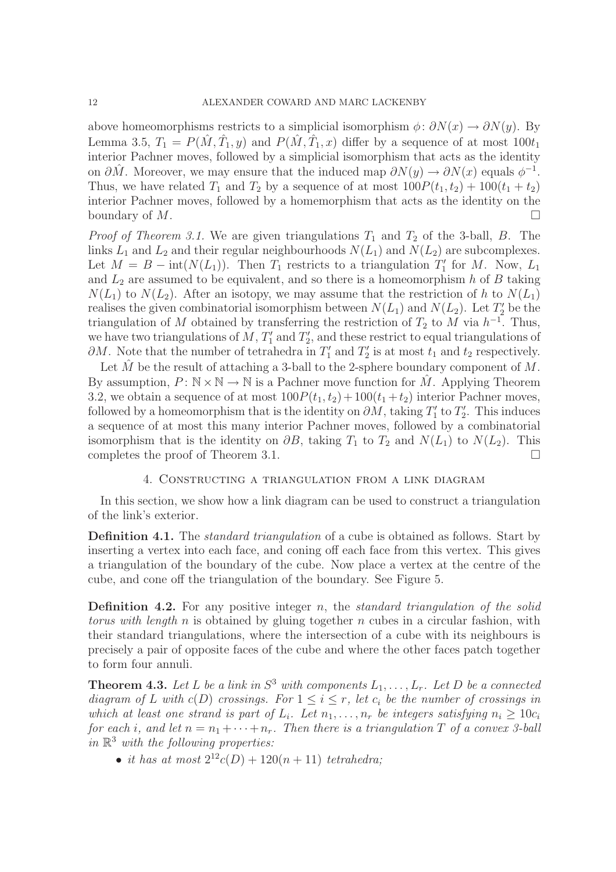above homeomorphisms restricts to a simplicial isomorphism  $\phi: \partial N(x) \to \partial N(y)$ . By Lemma 3.5,  $T_1 = P(\hat{M}, \hat{T}_1, y)$  and  $P(\hat{M}, \hat{T}_1, x)$  differ by a sequence of at most  $100t_1$ interior Pachner moves, followed by a simplicial isomorphism that acts as the identity on  $\partial \hat{M}$ . Moreover, we may ensure that the induced map  $\partial N(y) \to \partial N(x)$  equals  $\phi^{-1}$ . Thus, we have related  $T_1$  and  $T_2$  by a sequence of at most  $100P(t_1, t_2) + 100(t_1 + t_2)$ interior Pachner moves, followed by a homemorphism that acts as the identity on the boundary of  $M$ .

*Proof of Theorem 3.1.* We are given triangulations  $T_1$  and  $T_2$  of the 3-ball, B. The links  $L_1$  and  $L_2$  and their regular neighbourhoods  $N(L_1)$  and  $N(L_2)$  are subcomplexes. Let  $M = B - \text{int}(N(L_1))$ . Then  $T_1$  restricts to a triangulation  $T_1'$  $I'_1$  for  $M$ . Now,  $L_1$ and  $L_2$  are assumed to be equivalent, and so there is a homeomorphism h of B taking  $N(L_1)$  to  $N(L_2)$ . After an isotopy, we may assume that the restriction of h to  $N(L_1)$ realises the given combinatorial isomorphism between  $N(L_1)$  and  $N(L_2)$ . Let  $T_2'$  be the triangulation of M obtained by transferring the restriction of  $T_2$  to M via  $h^{-1}$ . Thus, we have two triangulations of  $M$ ,  $T_1'$  $T_1'$  and  $T_2'$ 2 , and these restrict to equal triangulations of  $\partial M$ . Note that the number of tetrahedra in  $T_1'$  $T'_1$  and  $T'_2$  $t_2$  is at most  $t_1$  and  $t_2$  respectively.

Let  $\tilde{M}$  be the result of attaching a 3-ball to the 2-sphere boundary component of  $M$ . By assumption,  $P: \mathbb{N} \times \mathbb{N} \to \mathbb{N}$  is a Pachner move function for M. Applying Theorem 3.2, we obtain a sequence of at most  $100P(t_1, t_2) + 100(t_1 + t_2)$  interior Pachner moves, followed by a homeomorphism that is the identity on  $\partial M$ , taking  $T_1'$  $T_1'$  to  $T_2'$  $\frac{1}{2}$ . This induces a sequence of at most this many interior Pachner moves, followed by a combinatorial isomorphism that is the identity on  $\partial B$ , taking  $T_1$  to  $T_2$  and  $N(L_1)$  to  $N(L_2)$ . This completes the proof of Theorem 3.1.

#### 4. Constructing a triangulation from a link diagram

In this section, we show how a link diagram can be used to construct a triangulation of the link's exterior.

Definition 4.1. The *standard triangulation* of a cube is obtained as follows. Start by inserting a vertex into each face, and coning off each face from this vertex. This gives a triangulation of the boundary of the cube. Now place a vertex at the centre of the cube, and cone off the triangulation of the boundary. See Figure 5.

Definition 4.2. For any positive integer n, the *standard triangulation of the solid torus with length* n is obtained by gluing together n cubes in a circular fashion, with their standard triangulations, where the intersection of a cube with its neighbours is precisely a pair of opposite faces of the cube and where the other faces patch together to form four annuli.

**Theorem 4.3.** Let L be a link in  $S^3$  with components  $L_1, \ldots, L_r$ . Let D be a connected *diagram of* L with  $c(D)$  *crossings. For*  $1 \leq i \leq r$ , let  $c_i$  be the number of crossings in *which at least one strand is part of*  $L_i$ *. Let*  $n_1, \ldots, n_r$  *be integers satisfying*  $n_i \geq 10c_i$ *for each i*, and let  $n = n_1 + \cdots + n_r$ . Then there is a triangulation T of a convex 3-ball *in* R <sup>3</sup> *with the following properties:*

• *it has at most*  $2^{12}c(D) + 120(n + 11)$  *tetrahedra*;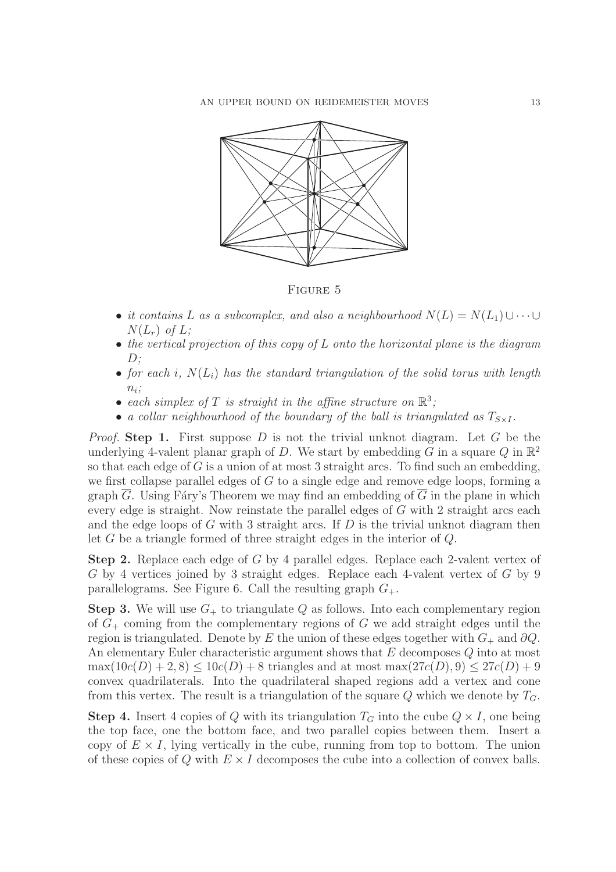

FIGURE 5

- *it contains* L *as a subcomplex, and also a neighbourhood*  $N(L) = N(L_1) \cup \cdots \cup$  $N(L_r)$  *of*  $L$ ;
- *the vertical projection of this copy of* L *onto the horizontal plane is the diagram* D*;*
- for each  $i$ ,  $N(L_i)$  has the standard triangulation of the solid torus with length  $n_i$ ;
- each simplex of T is straight in the affine structure on  $\mathbb{R}^3$ ;
- *a collar neighbourhood of the boundary of the ball is triangulated as*  $T_{S\times I}$ *.*

*Proof.* Step 1. First suppose D is not the trivial unknot diagram. Let G be the underlying 4-valent planar graph of D. We start by embedding  $\tilde{G}$  in a square  $Q$  in  $\mathbb{R}^2$ so that each edge of  $G$  is a union of at most 3 straight arcs. To find such an embedding, we first collapse parallel edges of  $G$  to a single edge and remove edge loops, forming a graph  $\overline{G}$ . Using Fáry's Theorem we may find an embedding of  $\overline{G}$  in the plane in which every edge is straight. Now reinstate the parallel edges of G with 2 straight arcs each and the edge loops of G with 3 straight arcs. If  $D$  is the trivial unknot diagram then let G be a triangle formed of three straight edges in the interior of Q.

Step 2. Replace each edge of G by 4 parallel edges. Replace each 2-valent vertex of G by 4 vertices joined by 3 straight edges. Replace each 4-valent vertex of G by 9 parallelograms. See Figure 6. Call the resulting graph  $G_{+}$ .

**Step 3.** We will use  $G_+$  to triangulate Q as follows. Into each complementary region of  $G<sub>+</sub>$  coming from the complementary regions of G we add straight edges until the region is triangulated. Denote by E the union of these edges together with  $G_+$  and  $\partial Q$ . An elementary Euler characteristic argument shows that E decomposes Q into at most  $\max(10c(D) + 2, 8) \le 10c(D) + 8$  triangles and at most  $\max(27c(D), 9) \le 27c(D) + 9$ convex quadrilaterals. Into the quadrilateral shaped regions add a vertex and cone from this vertex. The result is a triangulation of the square Q which we denote by  $T<sub>G</sub>$ .

**Step 4.** Insert 4 copies of Q with its triangulation  $T_G$  into the cube  $Q \times I$ , one being the top face, one the bottom face, and two parallel copies between them. Insert a copy of  $E \times I$ , lying vertically in the cube, running from top to bottom. The union of these copies of Q with  $E \times I$  decomposes the cube into a collection of convex balls.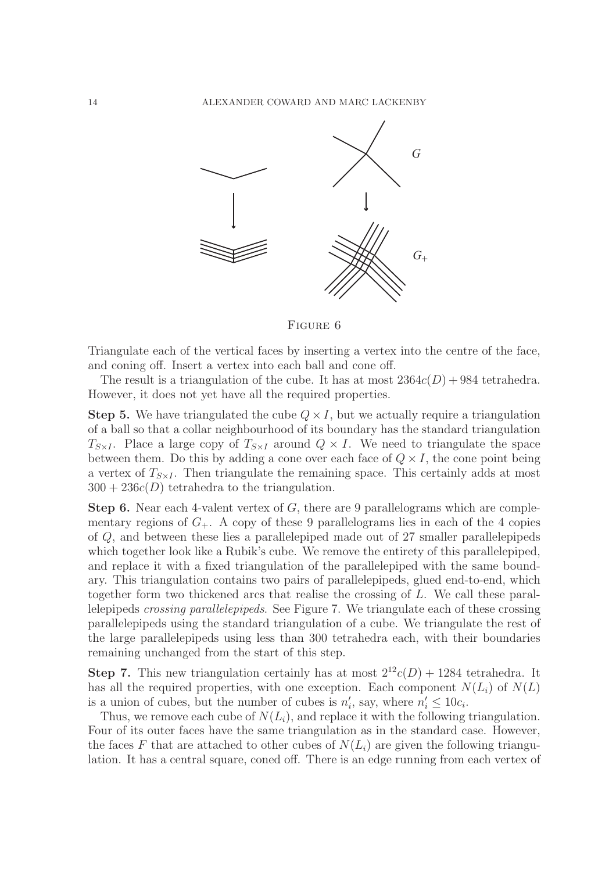

Figure 6

Triangulate each of the vertical faces by inserting a vertex into the centre of the face, and coning off. Insert a vertex into each ball and cone off.

The result is a triangulation of the cube. It has at most  $2364c(D) + 984$  tetrahedra. However, it does not yet have all the required properties.

**Step 5.** We have triangulated the cube  $Q \times I$ , but we actually require a triangulation of a ball so that a collar neighbourhood of its boundary has the standard triangulation  $T_{S\times I}$ . Place a large copy of  $T_{S\times I}$  around  $Q\times I$ . We need to triangulate the space between them. Do this by adding a cone over each face of  $Q \times I$ , the cone point being a vertex of  $T_{S\times I}$ . Then triangulate the remaining space. This certainly adds at most  $300 + 236c(D)$  tetrahedra to the triangulation.

**Step 6.** Near each 4-valent vertex of  $G$ , there are 9 parallelograms which are complementary regions of  $G_+$ . A copy of these 9 parallelograms lies in each of the 4 copies of Q, and between these lies a parallelepiped made out of 27 smaller parallelepipeds which together look like a Rubik's cube. We remove the entirety of this parallelepiped, and replace it with a fixed triangulation of the parallelepiped with the same boundary. This triangulation contains two pairs of parallelepipeds, glued end-to-end, which together form two thickened arcs that realise the crossing of L. We call these parallelepipeds *crossing parallelepipeds*. See Figure 7. We triangulate each of these crossing parallelepipeds using the standard triangulation of a cube. We triangulate the rest of the large parallelepipeds using less than 300 tetrahedra each, with their boundaries remaining unchanged from the start of this step.

**Step 7.** This new triangulation certainly has at most  $2^{12}c(D) + 1284$  tetrahedra. It has all the required properties, with one exception. Each component  $N(L_i)$  of  $N(L)$ is a union of cubes, but the number of cubes is  $n'_i$  $i'$ , say, where  $n'_i \leq 10c_i$ .

Thus, we remove each cube of  $N(L_i)$ , and replace it with the following triangulation. Four of its outer faces have the same triangulation as in the standard case. However, the faces F that are attached to other cubes of  $N(L_i)$  are given the following triangulation. It has a central square, coned off. There is an edge running from each vertex of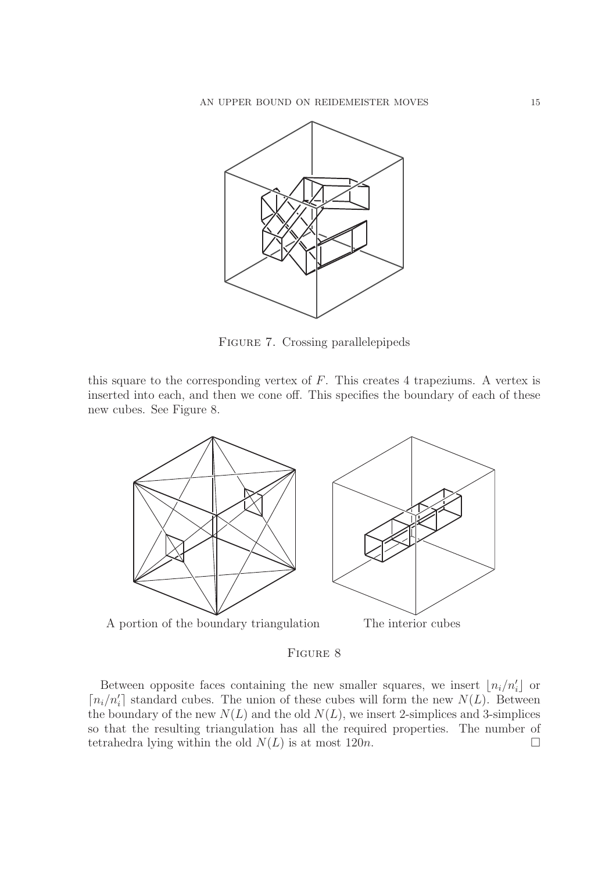

Figure 7. Crossing parallelepipeds

this square to the corresponding vertex of  $F$ . This creates 4 trapeziums. A vertex is inserted into each, and then we cone off. This specifies the boundary of each of these new cubes. See Figure 8.



Figure 8

Between opposite faces containing the new smaller squares, we insert  $\lfloor n_i/n'_i \rfloor$  or  $\lceil n_i/n'_i \rceil$  standard cubes. The union of these cubes will form the new  $N(L)$ . Between the boundary of the new  $N(L)$  and the old  $N(L)$ , we insert 2-simplices and 3-simplices so that the resulting triangulation has all the required properties. The number of tetrahedra lying within the old  $N(L)$  is at most 120*n*.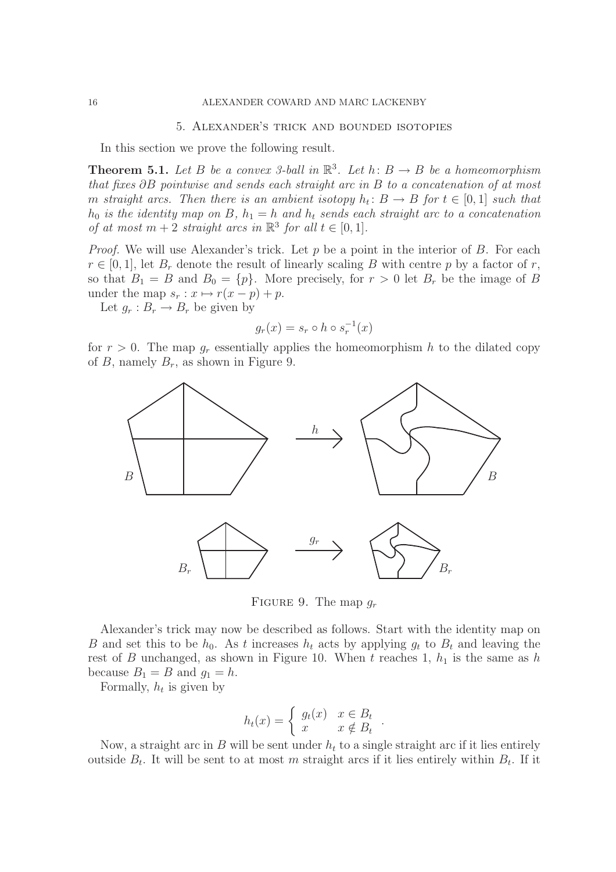#### 5. Alexander's trick and bounded isotopies

In this section we prove the following result.

**Theorem 5.1.** Let B be a convex 3-ball in  $\mathbb{R}^3$ . Let  $h: B \to B$  be a homeomorphism *that fixes* ∂B *pointwise and sends each straight arc in* B *to a concatenation of at most* m *straight arcs.* Then there is an ambient isotopy  $h_t: B \to B$  for  $t \in [0,1]$  such that  $h_0$  *is the identity map on* B,  $h_1 = h$  *and*  $h_t$  *sends each straight arc to a concatenation of at most*  $m + 2$  *straight arcs in*  $\mathbb{R}^3$  *for all*  $t \in [0, 1]$ *.* 

*Proof.* We will use Alexander's trick. Let p be a point in the interior of B. For each  $r \in [0, 1]$ , let  $B_r$  denote the result of linearly scaling B with centre p by a factor of r, so that  $B_1 = B$  and  $B_0 = \{p\}$ . More precisely, for  $r > 0$  let  $B_r$  be the image of B under the map  $s_r : x \mapsto r(x - p) + p$ .

Let  $g_r : B_r \to B_r$  be given by

$$
g_r(x) = s_r \circ h \circ s_r^{-1}(x)
$$

for  $r > 0$ . The map  $g_r$  essentially applies the homeomorphism h to the dilated copy of B, namely  $B_r$ , as shown in Figure 9.



FIGURE 9. The map  $q_r$ 

Alexander's trick may now be described as follows. Start with the identity map on B and set this to be  $h_0$ . As t increases  $h_t$  acts by applying  $g_t$  to  $B_t$  and leaving the rest of B unchanged, as shown in Figure 10. When t reaches 1,  $h_1$  is the same as h because  $B_1 = B$  and  $g_1 = h$ .

Formally,  $h_t$  is given by

$$
h_t(x) = \begin{cases} g_t(x) & x \in B_t \\ x & x \notin B_t \end{cases}
$$

.

Now, a straight arc in B will be sent under  $h_t$  to a single straight arc if it lies entirely outside  $B_t$ . It will be sent to at most m straight arcs if it lies entirely within  $B_t$ . If it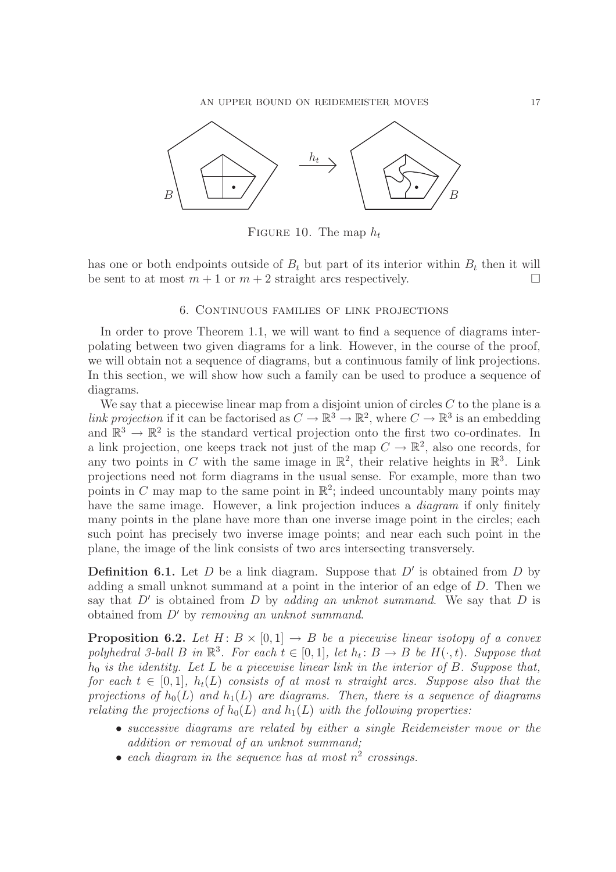

FIGURE 10. The map  $h_t$ 

has one or both endpoints outside of  $B_t$  but part of its interior within  $B_t$  then it will be sent to at most  $m+1$  or  $m+2$  straight arcs respectively.

#### 6. Continuous families of link projections

In order to prove Theorem 1.1, we will want to find a sequence of diagrams interpolating between two given diagrams for a link. However, in the course of the proof, we will obtain not a sequence of diagrams, but a continuous family of link projections. In this section, we will show how such a family can be used to produce a sequence of diagrams.

We say that a piecewise linear map from a disjoint union of circles  $C$  to the plane is a *link projection* if it can be factorised as  $C \to \mathbb{R}^3 \to \mathbb{R}^2$ , where  $C \to \mathbb{R}^3$  is an embedding and  $\mathbb{R}^3 \to \mathbb{R}^2$  is the standard vertical projection onto the first two co-ordinates. In a link projection, one keeps track not just of the map  $C \to \mathbb{R}^2$ , also one records, for any two points in C with the same image in  $\mathbb{R}^2$ , their relative heights in  $\mathbb{R}^3$ . Link projections need not form diagrams in the usual sense. For example, more than two points in C may map to the same point in  $\mathbb{R}^2$ ; indeed uncountably many points may have the same image. However, a link projection induces a *diagram* if only finitely many points in the plane have more than one inverse image point in the circles; each such point has precisely two inverse image points; and near each such point in the plane, the image of the link consists of two arcs intersecting transversely.

**Definition 6.1.** Let  $D$  be a link diagram. Suppose that  $D'$  is obtained from  $D$  by adding a small unknot summand at a point in the interior of an edge of D. Then we say that  $D'$  is obtained from  $D$  by *adding an unknot summand*. We say that  $D$  is obtained from D′ by *removing an unknot summand*.

**Proposition 6.2.** Let  $H: B \times [0,1] \rightarrow B$  be a piecewise linear isotopy of a convex polyhedral 3-ball B in  $\mathbb{R}^3$ . For each  $t \in [0,1]$ , let  $h_t: B \to B$  be  $H(\cdot, t)$ . Suppose that h<sup>0</sup> *is the identity. Let* L *be a piecewise linear link in the interior of* B*. Suppose that, for each*  $t \in [0,1]$ ,  $h_t(L)$  *consists of at most n straight arcs. Suppose also that the projections of*  $h_0(L)$  *and*  $h_1(L)$  *are diagrams. Then, there is a sequence of diagrams relating the projections of*  $h_0(L)$  *and*  $h_1(L)$  *with the following properties:* 

- *successive diagrams are related by either a single Reidemeister move or the addition or removal of an unknot summand;*
- *each diagram in the sequence has at most* n 2 *crossings.*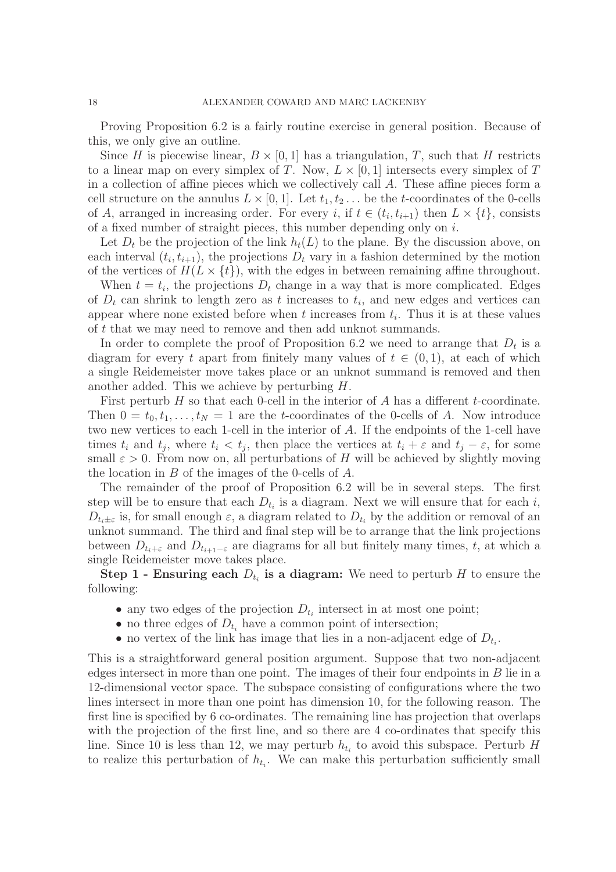Proving Proposition 6.2 is a fairly routine exercise in general position. Because of this, we only give an outline.

Since H is piecewise linear,  $B \times [0, 1]$  has a triangulation, T, such that H restricts to a linear map on every simplex of T. Now,  $L \times [0, 1]$  intersects every simplex of T in a collection of affine pieces which we collectively call A. These affine pieces form a cell structure on the annulus  $L \times [0, 1]$ . Let  $t_1, t_2, \ldots$  be the t-coordinates of the 0-cells of A, arranged in increasing order. For every i, if  $t \in (t_i, t_{i+1})$  then  $L \times \{t\}$ , consists of a fixed number of straight pieces, this number depending only on i.

Let  $D_t$  be the projection of the link  $h_t(L)$  to the plane. By the discussion above, on each interval  $(t_i, t_{i+1})$ , the projections  $D_t$  vary in a fashion determined by the motion of the vertices of  $H(L \times \{t\})$ , with the edges in between remaining affine throughout.

When  $t = t_i$ , the projections  $D_t$  change in a way that is more complicated. Edges of  $D_t$  can shrink to length zero as t increases to  $t_i$ , and new edges and vertices can appear where none existed before when  $t$  increases from  $t_i$ . Thus it is at these values of t that we may need to remove and then add unknot summands.

In order to complete the proof of Proposition 6.2 we need to arrange that  $D_t$  is a diagram for every t apart from finitely many values of  $t \in (0,1)$ , at each of which a single Reidemeister move takes place or an unknot summand is removed and then another added. This we achieve by perturbing H.

First perturb  $H$  so that each 0-cell in the interior of  $A$  has a different  $t$ -coordinate. Then  $0 = t_0, t_1, \ldots, t_N = 1$  are the t-coordinates of the 0-cells of A. Now introduce two new vertices to each 1-cell in the interior of A. If the endpoints of the 1-cell have times  $t_i$  and  $t_j$ , where  $t_i < t_j$ , then place the vertices at  $t_i + \varepsilon$  and  $t_j - \varepsilon$ , for some small  $\varepsilon > 0$ . From now on, all perturbations of H will be achieved by slightly moving the location in B of the images of the 0-cells of A.

The remainder of the proof of Proposition 6.2 will be in several steps. The first step will be to ensure that each  $D_{t_i}$  is a diagram. Next we will ensure that for each i,  $D_{t_i\pm\varepsilon}$  is, for small enough  $\varepsilon$ , a diagram related to  $D_{t_i}$  by the addition or removal of an unknot summand. The third and final step will be to arrange that the link projections between  $D_{t_i+\varepsilon}$  and  $D_{t_{i+1}-\varepsilon}$  are diagrams for all but finitely many times, t, at which a single Reidemeister move takes place.

**Step 1 - Ensuring each**  $D_{t_i}$  **is a diagram:** We need to perturb H to ensure the following:

- any two edges of the projection  $D_{t_i}$  intersect in at most one point;
- no three edges of  $D_{t_i}$  have a common point of intersection;
- no vertex of the link has image that lies in a non-adjacent edge of  $D_{t_i}$ .

This is a straightforward general position argument. Suppose that two non-adjacent edges intersect in more than one point. The images of their four endpoints in  $B$  lie in a 12-dimensional vector space. The subspace consisting of configurations where the two lines intersect in more than one point has dimension 10, for the following reason. The first line is specified by 6 co-ordinates. The remaining line has projection that overlaps with the projection of the first line, and so there are 4 co-ordinates that specify this line. Since 10 is less than 12, we may perturb  $h_{t_i}$  to avoid this subspace. Perturb H to realize this perturbation of  $h_{t_i}$ . We can make this perturbation sufficiently small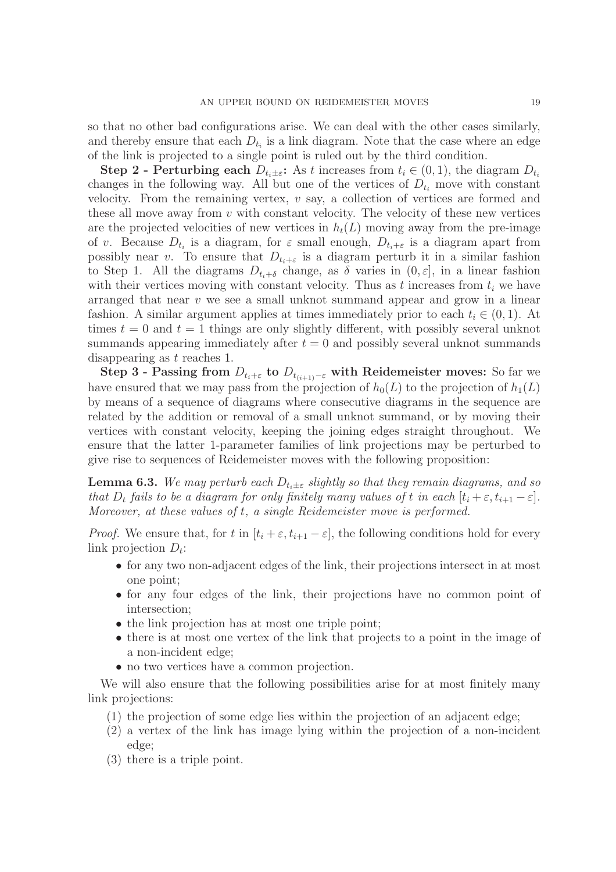so that no other bad configurations arise. We can deal with the other cases similarly, and thereby ensure that each  $D_{t_i}$  is a link diagram. Note that the case where an edge of the link is projected to a single point is ruled out by the third condition.

**Step 2 - Perturbing each**  $D_{t_i \pm \varepsilon}$ : As t increases from  $t_i \in (0, 1)$ , the diagram  $D_{t_i}$ changes in the following way. All but one of the vertices of  $D_{t_i}$  move with constant velocity. From the remaining vertex,  $v$  say, a collection of vertices are formed and these all move away from  $v$  with constant velocity. The velocity of these new vertices are the projected velocities of new vertices in  $h_t(L)$  moving away from the pre-image of v. Because  $D_{t_i}$  is a diagram, for  $\varepsilon$  small enough,  $D_{t_i+\varepsilon}$  is a diagram apart from possibly near v. To ensure that  $D_{t_i+\varepsilon}$  is a diagram perturb it in a similar fashion to Step 1. All the diagrams  $D_{t_i+\delta}$  change, as  $\delta$  varies in  $(0, \varepsilon]$ , in a linear fashion with their vertices moving with constant velocity. Thus as t increases from  $t_i$  we have arranged that near  $v$  we see a small unknot summand appear and grow in a linear fashion. A similar argument applies at times immediately prior to each  $t_i \in (0,1)$ . At times  $t = 0$  and  $t = 1$  things are only slightly different, with possibly several unknot summands appearing immediately after  $t = 0$  and possibly several unknot summands disappearing as t reaches 1.

Step 3 - Passing from  $D_{t_i+\varepsilon}$  to  $D_{t_{(i+1)}-\varepsilon}$  with Reidemeister moves: So far we have ensured that we may pass from the projection of  $h_0(L)$  to the projection of  $h_1(L)$ by means of a sequence of diagrams where consecutive diagrams in the sequence are related by the addition or removal of a small unknot summand, or by moving their vertices with constant velocity, keeping the joining edges straight throughout. We ensure that the latter 1-parameter families of link projections may be perturbed to give rise to sequences of Reidemeister moves with the following proposition:

**Lemma 6.3.** *We may perturb each*  $D_{t_i \pm \varepsilon}$  *slightly so that they remain diagrams, and so that*  $D_t$  *fails to be a diagram for only finitely many values of t in each*  $[t_i + \varepsilon, t_{i+1} - \varepsilon]$ *. Moreover, at these values of* t*, a single Reidemeister move is performed.*

*Proof.* We ensure that, for t in  $[t_i + \varepsilon, t_{i+1} - \varepsilon]$ , the following conditions hold for every link projection  $D_t$ :

- for any two non-adjacent edges of the link, their projections intersect in at most one point;
- for any four edges of the link, their projections have no common point of intersection;
- the link projection has at most one triple point;
- there is at most one vertex of the link that projects to a point in the image of a non-incident edge;
- no two vertices have a common projection.

We will also ensure that the following possibilities arise for at most finitely many link projections:

- (1) the projection of some edge lies within the projection of an adjacent edge;
- (2) a vertex of the link has image lying within the projection of a non-incident edge;
- (3) there is a triple point.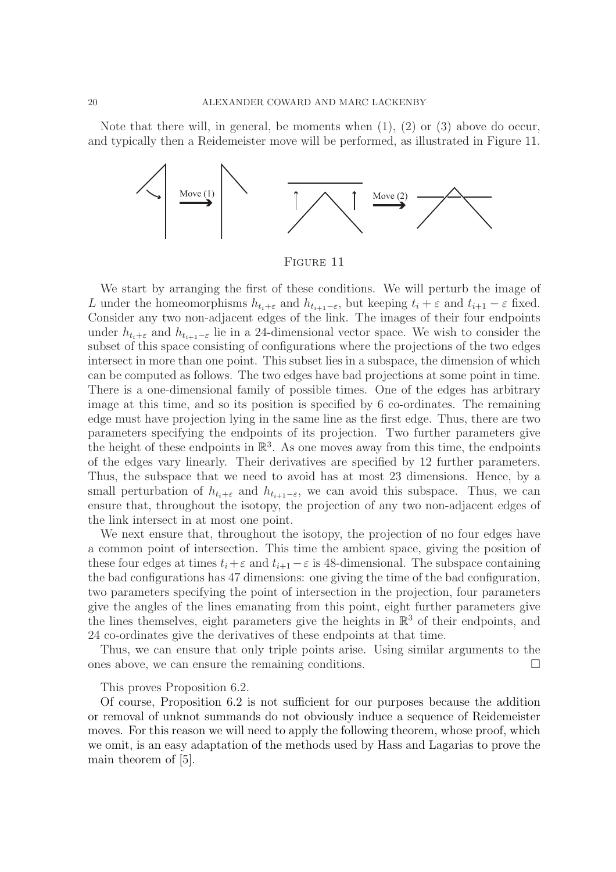Note that there will, in general, be moments when  $(1)$ ,  $(2)$  or  $(3)$  above do occur, and typically then a Reidemeister move will be performed, as illustrated in Figure 11.



Figure 11

We start by arranging the first of these conditions. We will perturb the image of L under the homeomorphisms  $h_{t_i+\varepsilon}$  and  $h_{t_{i+1}-\varepsilon}$ , but keeping  $t_i + \varepsilon$  and  $t_{i+1} - \varepsilon$  fixed. Consider any two non-adjacent edges of the link. The images of their four endpoints under  $h_{t_i+\varepsilon}$  and  $h_{t_{i+1}-\varepsilon}$  lie in a 24-dimensional vector space. We wish to consider the subset of this space consisting of configurations where the projections of the two edges intersect in more than one point. This subset lies in a subspace, the dimension of which can be computed as follows. The two edges have bad projections at some point in time. There is a one-dimensional family of possible times. One of the edges has arbitrary image at this time, and so its position is specified by 6 co-ordinates. The remaining edge must have projection lying in the same line as the first edge. Thus, there are two parameters specifying the endpoints of its projection. Two further parameters give the height of these endpoints in  $\mathbb{R}^3$ . As one moves away from this time, the endpoints of the edges vary linearly. Their derivatives are specified by 12 further parameters. Thus, the subspace that we need to avoid has at most 23 dimensions. Hence, by a small perturbation of  $h_{t_i+\varepsilon}$  and  $h_{t_{i+1}-\varepsilon}$ , we can avoid this subspace. Thus, we can ensure that, throughout the isotopy, the projection of any two non-adjacent edges of the link intersect in at most one point.

We next ensure that, throughout the isotopy, the projection of no four edges have a common point of intersection. This time the ambient space, giving the position of these four edges at times  $t_i+\varepsilon$  and  $t_{i+1}-\varepsilon$  is 48-dimensional. The subspace containing the bad configurations has 47 dimensions: one giving the time of the bad configuration, two parameters specifying the point of intersection in the projection, four parameters give the angles of the lines emanating from this point, eight further parameters give the lines themselves, eight parameters give the heights in  $\mathbb{R}^3$  of their endpoints, and 24 co-ordinates give the derivatives of these endpoints at that time.

Thus, we can ensure that only triple points arise. Using similar arguments to the ones above, we can ensure the remaining conditions.  $\Box$ 

This proves Proposition 6.2.

Of course, Proposition 6.2 is not sufficient for our purposes because the addition or removal of unknot summands do not obviously induce a sequence of Reidemeister moves. For this reason we will need to apply the following theorem, whose proof, which we omit, is an easy adaptation of the methods used by Hass and Lagarias to prove the main theorem of [5].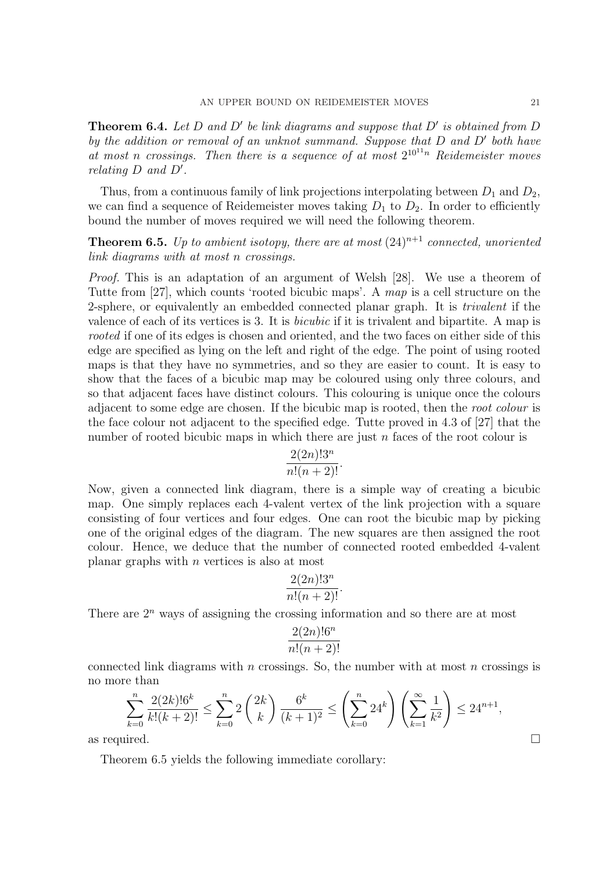Theorem 6.4. *Let* D *and* D′ *be link diagrams and suppose that* D′ *is obtained from* D *by the addition or removal of an unknot summand. Suppose that* D *and* D′ *both have* at most *n* crossings. Then there is a sequence of at most  $2^{10^{11}n}$  Reidemeister moves *relating* D *and* D′ *.*

Thus, from a continuous family of link projections interpolating between  $D_1$  and  $D_2$ , we can find a sequence of Reidemeister moves taking  $D_1$  to  $D_2$ . In order to efficiently bound the number of moves required we will need the following theorem.

**Theorem 6.5.** Up to ambient isotopy, there are at most  $(24)^{n+1}$  connected, unoriented *link diagrams with at most* n *crossings.*

*Proof.* This is an adaptation of an argument of Welsh [28]. We use a theorem of Tutte from [27], which counts 'rooted bicubic maps'. A *map* is a cell structure on the 2-sphere, or equivalently an embedded connected planar graph. It is *trivalent* if the valence of each of its vertices is 3. It is *bicubic* if it is trivalent and bipartite. A map is *rooted* if one of its edges is chosen and oriented, and the two faces on either side of this edge are specified as lying on the left and right of the edge. The point of using rooted maps is that they have no symmetries, and so they are easier to count. It is easy to show that the faces of a bicubic map may be coloured using only three colours, and so that adjacent faces have distinct colours. This colouring is unique once the colours adjacent to some edge are chosen. If the bicubic map is rooted, then the *root colour* is the face colour not adjacent to the specified edge. Tutte proved in 4.3 of [27] that the number of rooted bicubic maps in which there are just n faces of the root colour is

$$
\frac{2(2n)!3^n}{n!(n+2)!}.
$$

Now, given a connected link diagram, there is a simple way of creating a bicubic map. One simply replaces each 4-valent vertex of the link projection with a square consisting of four vertices and four edges. One can root the bicubic map by picking one of the original edges of the diagram. The new squares are then assigned the root colour. Hence, we deduce that the number of connected rooted embedded 4-valent planar graphs with  $n$  vertices is also at most

$$
\frac{2(2n)!3^n}{n!(n+2)!}.
$$

There are  $2^n$  ways of assigning the crossing information and so there are at most

$$
\frac{2(2n)!6^n}{n!(n+2)!}
$$

connected link diagrams with  $n$  crossings. So, the number with at most  $n$  crossings is no more than

$$
\sum_{k=0}^{n} \frac{2(2k)! 6^k}{k! (k+2)!} \le \sum_{k=0}^{n} 2\binom{2k}{k} \frac{6^k}{(k+1)^2} \le \left(\sum_{k=0}^{n} 24^k\right) \left(\sum_{k=1}^{\infty} \frac{1}{k^2}\right) \le 24^{n+1},
$$
as required.

Theorem 6.5 yields the following immediate corollary: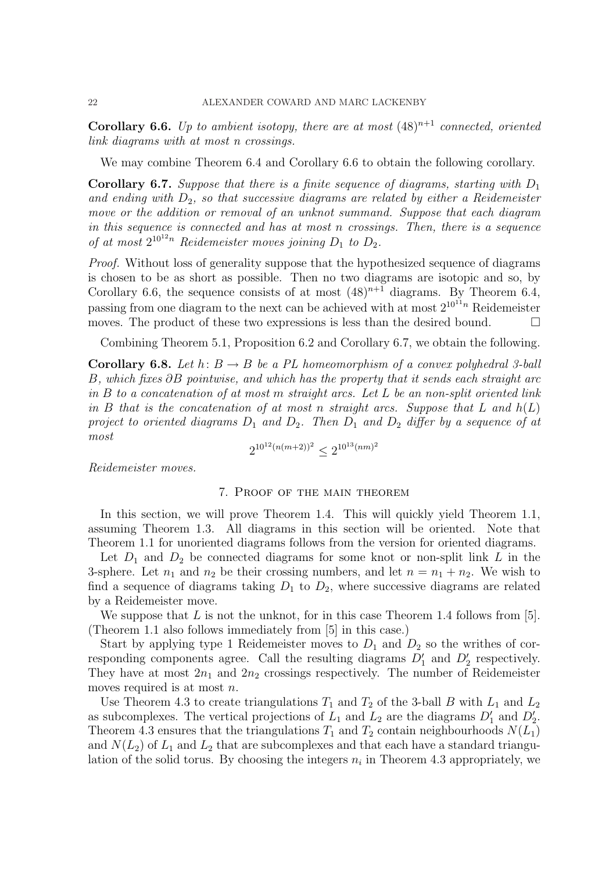**Corollary 6.6.** *Up to ambient isotopy, there are at most*  $(48)^{n+1}$  *connected, oriented link diagrams with at most n crossings.*

We may combine Theorem 6.4 and Corollary 6.6 to obtain the following corollary.

Corollary 6.7. *Suppose that there is a finite sequence of diagrams, starting with*  $D_1$ and ending with  $D_2$ , so that successive diagrams are related by either a Reidemeister *move or the addition or removal of an unknot summand. Suppose that each diagram in this sequence is connected and has at most* n *crossings. Then, there is a sequence* of at most  $2^{10^{12}n}$  *Reidemeister moves joining*  $D_1$  to  $D_2$ *.* 

*Proof.* Without loss of generality suppose that the hypothesized sequence of diagrams is chosen to be as short as possible. Then no two diagrams are isotopic and so, by Corollary 6.6, the sequence consists of at most  $(48)^{n+1}$  diagrams. By Theorem 6.4, passing from one diagram to the next can be achieved with at most  $2^{10^{11}n}$  Reidemeister moves. The product of these two expressions is less than the desired bound.  $\Box$ 

Combining Theorem 5.1, Proposition 6.2 and Corollary 6.7, we obtain the following.

**Corollary 6.8.** Let  $h: B \to B$  be a PL homeomorphism of a convex polyhedral 3-ball B*, which fixes* ∂B *pointwise, and which has the property that it sends each straight arc in* B *to a concatenation of at most* m *straight arcs. Let* L *be an non-split oriented link in* B *that is the concatenation of at most* n *straight arcs. Suppose that* L *and* h(L) *project to oriented diagrams*  $D_1$  *and*  $D_2$ *. Then*  $D_1$  *and*  $D_2$  *differ by a sequence of at most*

$$
2^{10^{12}(n(m+2))^2} \le 2^{10^{13}(nm)^2}
$$

*Reidemeister moves.*

## 7. Proof of the main theorem

In this section, we will prove Theorem 1.4. This will quickly yield Theorem 1.1, assuming Theorem 1.3. All diagrams in this section will be oriented. Note that Theorem 1.1 for unoriented diagrams follows from the version for oriented diagrams.

Let  $D_1$  and  $D_2$  be connected diagrams for some knot or non-split link L in the 3-sphere. Let  $n_1$  and  $n_2$  be their crossing numbers, and let  $n = n_1 + n_2$ . We wish to find a sequence of diagrams taking  $D_1$  to  $D_2$ , where successive diagrams are related by a Reidemeister move.

We suppose that L is not the unknot, for in this case Theorem 1.4 follows from [5]. (Theorem 1.1 also follows immediately from [5] in this case.)

Start by applying type 1 Reidemeister moves to  $D_1$  and  $D_2$  so the writhes of corresponding components agree. Call the resulting diagrams  $D'_1$  and  $D'_2$  respectively. They have at most  $2n_1$  and  $2n_2$  crossings respectively. The number of Reidemeister moves required is at most *n*.

Use Theorem 4.3 to create triangulations  $T_1$  and  $T_2$  of the 3-ball B with  $L_1$  and  $L_2$ as subcomplexes. The vertical projections of  $L_1$  and  $L_2$  are the diagrams  $D'_1$  and  $D'_2$ . Theorem 4.3 ensures that the triangulations  $T_1$  and  $T_2$  contain neighbourhoods  $N(L_1)$ and  $N(L_2)$  of  $L_1$  and  $L_2$  that are subcomplexes and that each have a standard triangulation of the solid torus. By choosing the integers  $n_i$  in Theorem 4.3 appropriately, we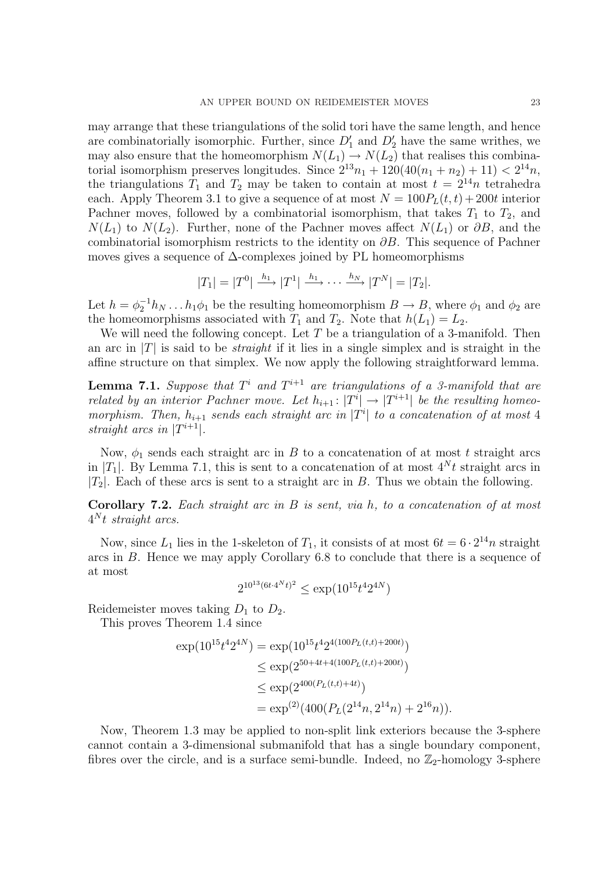may arrange that these triangulations of the solid tori have the same length, and hence are combinatorially isomorphic. Further, since  $D'_1$  and  $D'_2$  have the same writhes, we may also ensure that the homeomorphism  $N(L_1) \to N(L_2)$  that realises this combinatorial isomorphism preserves longitudes. Since  $2^{13}n_1 + 120(40(n_1 + n_2) + 11) < 2^{14}n$ , the triangulations  $T_1$  and  $T_2$  may be taken to contain at most  $t = 2^{14}n$  tetrahedra each. Apply Theorem 3.1 to give a sequence of at most  $N = 100P_L(t, t) + 200t$  interior Pachner moves, followed by a combinatorial isomorphism, that takes  $T_1$  to  $T_2$ , and  $N(L_1)$  to  $N(L_2)$ . Further, none of the Pachner moves affect  $N(L_1)$  or  $\partial B$ , and the combinatorial isomorphism restricts to the identity on  $\partial B$ . This sequence of Pachner moves gives a sequence of  $\Delta$ -complexes joined by PL homeomorphisms

$$
|T_1| = |T^0| \xrightarrow{h_1} |T^1| \xrightarrow{h_1} \cdots \xrightarrow{h_N} |T^N| = |T_2|.
$$

Let  $h = \phi_2^{-1} h_N \dots h_1 \phi_1$  be the resulting homeomorphism  $B \to B$ , where  $\phi_1$  and  $\phi_2$  are the homeomorphisms associated with  $T_1$  and  $T_2$ . Note that  $h(L_1) = L_2$ .

We will need the following concept. Let  $T$  be a triangulation of a 3-manifold. Then an arc in  $|T|$  is said to be *straight* if it lies in a single simplex and is straight in the affine structure on that simplex. We now apply the following straightforward lemma.

**Lemma 7.1.** Suppose that  $T^i$  and  $T^{i+1}$  are triangulations of a 3-manifold that are *related by an interior Pachner move. Let*  $h_{i+1}: |T^i| \rightarrow |T^{i+1}|$  *be the resulting homeo*morphism. Then,  $h_{i+1}$  sends each straight arc in  $|T^i|$  to a concatenation of at most 4 *straight arcs in*  $|T^{i+1}|$ *.* 

Now,  $\phi_1$  sends each straight arc in B to a concatenation of at most t straight arcs in |T<sub>1</sub>|. By Lemma 7.1, this is sent to a concatenation of at most  $4^N t$  straight arcs in  $|T_2|$ . Each of these arcs is sent to a straight arc in B. Thus we obtain the following.

Corollary 7.2. *Each straight arc in* B *is sent, via* h*, to a concatenation of at most* 4 <sup>N</sup> t *straight arcs.*

Now, since  $L_1$  lies in the 1-skeleton of  $T_1$ , it consists of at most  $6t = 6 \cdot 2^{14}n$  straight arcs in B. Hence we may apply Corollary 6.8 to conclude that there is a sequence of at most

$$
2^{10^{13}(6t \cdot 4^N t)^2} \le \exp(10^{15} t^4 2^{4N})
$$

Reidemeister moves taking  $D_1$  to  $D_2$ .

This proves Theorem 1.4 since

$$
\exp(10^{15}t^4 2^{4N}) = \exp(10^{15}t^4 2^{4(100P_L(t,t)+200t)})
$$
  
\n
$$
\leq \exp(2^{50+4t+4(100P_L(t,t)+200t)})
$$
  
\n
$$
\leq \exp(2^{400(P_L(t,t)+4t)})
$$
  
\n
$$
= \exp^{(2)}(400(P_L(2^{14}n, 2^{14}n) + 2^{16}n)).
$$

Now, Theorem 1.3 may be applied to non-split link exteriors because the 3-sphere cannot contain a 3-dimensional submanifold that has a single boundary component, fibres over the circle, and is a surface semi-bundle. Indeed, no  $\mathbb{Z}_2$ -homology 3-sphere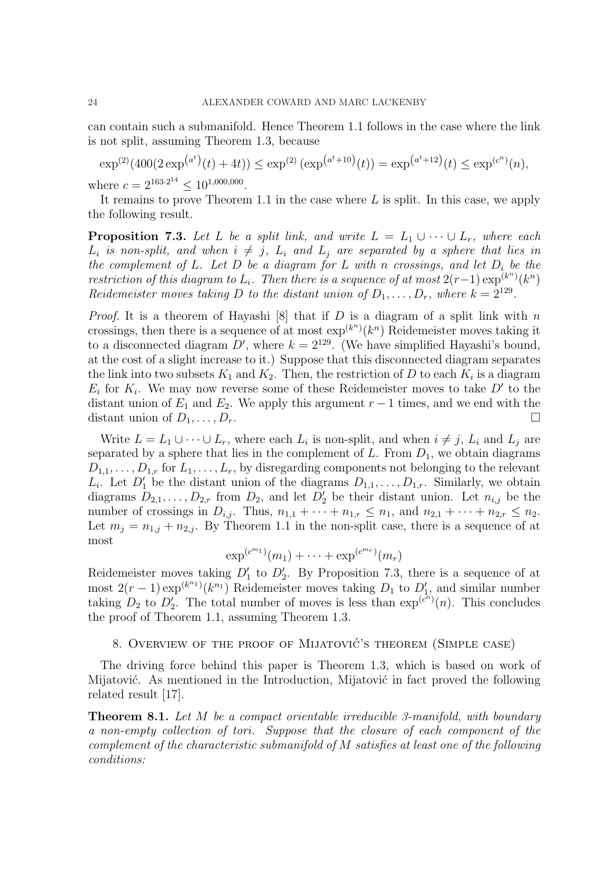can contain such a submanifold. Hence Theorem 1.1 follows in the case where the link is not split, assuming Theorem 1.3, because

 $\exp^{(2)}(400(2 \exp^{(a^t)}(t) + 4t)) \leq \exp^{(2)}(\exp^{(a^t+10)}(t)) = \exp^{(a^t+12)}(t) \leq \exp^{(c^n)}(n),$ 

where  $c = 2^{163 \cdot 2^{14}} \leq 10^{1,000,000}$ .

It remains to prove Theorem 1.1 in the case where  $L$  is split. In this case, we apply the following result.

**Proposition 7.3.** Let L be a split link, and write  $L = L_1 \cup \cdots \cup L_r$ , where each  $L_i$  *is non-split, and when*  $i \neq j$ ,  $L_i$  *and*  $L_j$  *are separated by a sphere that lies in the complement of*  $L$ *. Let*  $D$  *be a diagram for*  $L$  *with* n *crossings, and let*  $D_i$  *be the*  $restriction$  of this diagram to  $L_i$ . Then there is a sequence of at most  $2(r-1)\exp^{(k^n)}(k^n)$ *Reidemeister moves taking D to the distant union of*  $D_1, \ldots, D_r$ *, where*  $k = 2^{129}$ *.* 

*Proof.* It is a theorem of Hayashi [8] that if  $D$  is a diagram of a split link with  $n$ crossings, then there is a sequence of at most  $\exp^{(k^n)}(k^n)$  Reidemeister moves taking it to a disconnected diagram  $D'$ , where  $k = 2^{129}$ . (We have simplified Hayashi's bound, at the cost of a slight increase to it.) Suppose that this disconnected diagram separates the link into two subsets  $K_1$  and  $K_2$ . Then, the restriction of D to each  $K_i$  is a diagram  $E_i$  for  $K_i$ . We may now reverse some of these Reidemeister moves to take  $D'$  to the distant union of  $E_1$  and  $E_2$ . We apply this argument  $r-1$  times, and we end with the distant union of  $D_1, \ldots, D_r$ .

Write  $L = L_1 \cup \cdots \cup L_r$ , where each  $L_i$  is non-split, and when  $i \neq j$ ,  $L_i$  and  $L_j$  are separated by a sphere that lies in the complement of  $L$ . From  $D_1$ , we obtain diagrams  $D_{1,1}, \ldots, D_{1,r}$  for  $L_1, \ldots, L_r$ , by disregarding components not belonging to the relevant  $L_i$ . Let  $D'_1$  be the distant union of the diagrams  $D_{1,1}, \ldots, D_{1,r}$ . Similarly, we obtain diagrams  $D_{2,1}, \ldots, D_{2,r}$  from  $D_2$ , and let  $D'_2$  be their distant union. Let  $n_{i,j}$  be the number of crossings in  $D_{i,j}$ . Thus,  $n_{1,1} + \cdots + n_{1,r} \leq n_1$ , and  $n_{2,1} + \cdots + n_{2,r} \leq n_2$ . Let  $m_j = n_{1,j} + n_{2,j}$ . By Theorem 1.1 in the non-split case, there is a sequence of at most

$$
\exp^{(c^{m_1})}(m_1) + \cdots + \exp^{(c^{m_r})}(m_r)
$$

Reidemeister moves taking  $D'_1$  to  $D'_2$ . By Proposition 7.3, there is a sequence of at most  $2(r-1) \exp^{(k^{n_1})}(k^{n_1})$  Reidemeister moves taking  $D_1$  to  $D'_1$ , and similar number taking  $D_2$  to  $D'_2$ . The total number of moves is less than  $exp^{(c^n)}(n)$ . This concludes the proof of Theorem 1.1, assuming Theorem 1.3.

8. Overview of the proof of Mijatovic's theorem (Simple case) ´

The driving force behind this paper is Theorem 1.3, which is based on work of Mijatović. As mentioned in the Introduction, Mijatović in fact proved the following related result [17].

Theorem 8.1. *Let* M *be a compact orientable irreducible 3-manifold, with boundary a non-empty collection of tori. Suppose that the closure of each component of the complement of the characteristic submanifold of* M *satisfies at least one of the following conditions:*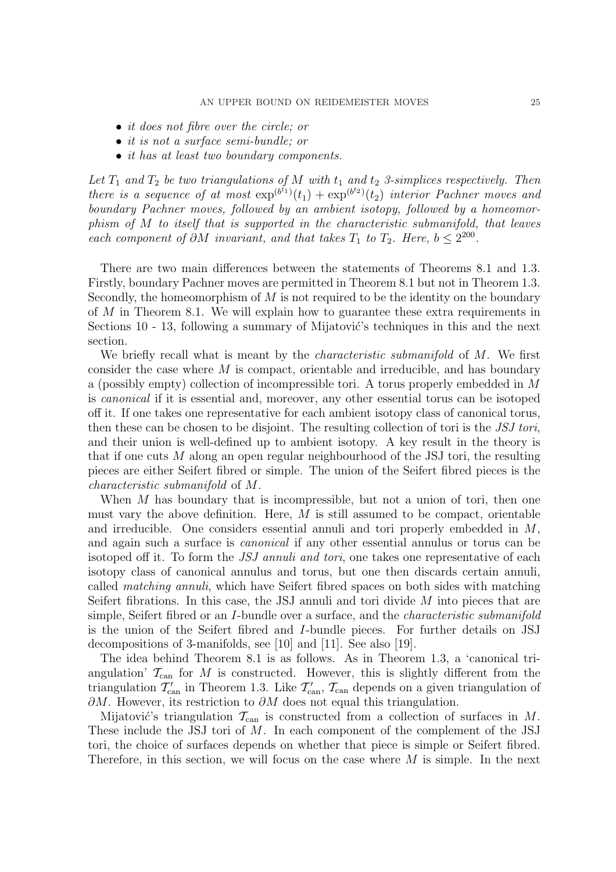- *it does not fibre over the circle; or*
- *it is not a surface semi-bundle; or*
- *it has at least two boundary components.*

Let  $T_1$  and  $T_2$  be two triangulations of M with  $t_1$  and  $t_2$  3-simplices respectively. Then *there is a sequence of at most*  $\exp^{(b^{t_1})}(t_1) + \exp^{(b^{t_2})}(t_2)$  *interior Pachner moves and boundary Pachner moves, followed by an ambient isotopy, followed by a homeomorphism of* M *to itself that is supported in the characteristic submanifold, that leaves each component of*  $\partial M$  *invariant, and that takes*  $T_1$  *to*  $T_2$ *. Here,*  $b \leq 2^{200}$ *.* 

There are two main differences between the statements of Theorems 8.1 and 1.3. Firstly, boundary Pachner moves are permitted in Theorem 8.1 but not in Theorem 1.3. Secondly, the homeomorphism of  $M$  is not required to be the identity on the boundary of  $M$  in Theorem 8.1. We will explain how to guarantee these extra requirements in Sections 10 - 13, following a summary of Mijatović's techniques in this and the next section.

We briefly recall what is meant by the *characteristic submanifold* of M. We first consider the case where  $M$  is compact, orientable and irreducible, and has boundary a (possibly empty) collection of incompressible tori. A torus properly embedded in M is *canonical* if it is essential and, moreover, any other essential torus can be isotoped off it. If one takes one representative for each ambient isotopy class of canonical torus, then these can be chosen to be disjoint. The resulting collection of tori is the *JSJ tori*, and their union is well-defined up to ambient isotopy. A key result in the theory is that if one cuts M along an open regular neighbourhood of the JSJ tori, the resulting pieces are either Seifert fibred or simple. The union of the Seifert fibred pieces is the *characteristic submanifold* of M.

When M has boundary that is incompressible, but not a union of tori, then one must vary the above definition. Here,  $M$  is still assumed to be compact, orientable and irreducible. One considers essential annuli and tori properly embedded in  $M$ , and again such a surface is *canonical* if any other essential annulus or torus can be isotoped off it. To form the *JSJ annuli and tori*, one takes one representative of each isotopy class of canonical annulus and torus, but one then discards certain annuli, called *matching annuli*, which have Seifert fibred spaces on both sides with matching Seifert fibrations. In this case, the JSJ annuli and tori divide  $M$  into pieces that are simple, Seifert fibred or an I-bundle over a surface, and the *characteristic submanifold* is the union of the Seifert fibred and I-bundle pieces. For further details on JSJ decompositions of 3-manifolds, see [10] and [11]. See also [19].

The idea behind Theorem 8.1 is as follows. As in Theorem 1.3, a 'canonical triangulation'  $\mathcal{T}_{\text{can}}$  for M is constructed. However, this is slightly different from the triangulation  $\mathcal{T}'_{\text{can}}$  in Theorem 1.3. Like  $\mathcal{T}'_{\text{can}}$ ,  $\mathcal{T}_{\text{can}}$  depends on a given triangulation of  $\partial M$ . However, its restriction to  $\partial M$  does not equal this triangulation.

Mijatović's triangulation  $\mathcal{T}_{\text{can}}$  is constructed from a collection of surfaces in M. These include the JSJ tori of M. In each component of the complement of the JSJ tori, the choice of surfaces depends on whether that piece is simple or Seifert fibred. Therefore, in this section, we will focus on the case where  $M$  is simple. In the next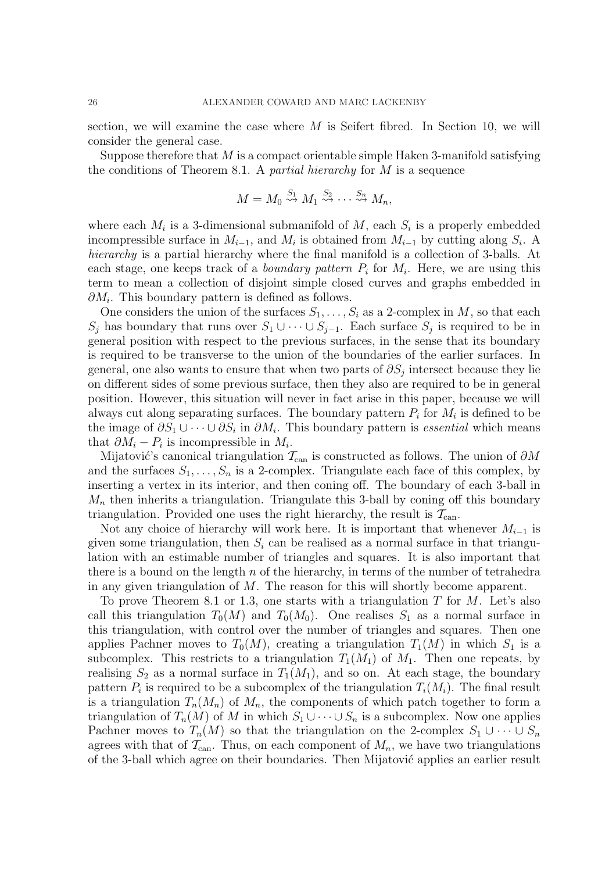section, we will examine the case where  $M$  is Seifert fibred. In Section 10, we will consider the general case.

Suppose therefore that  $M$  is a compact orientable simple Haken 3-manifold satisfying the conditions of Theorem 8.1. A *partial hierarchy* for M is a sequence

$$
M = M_0 \stackrel{S_1}{\leadsto} M_1 \stackrel{S_2}{\leadsto} \cdots \stackrel{S_n}{\leadsto} M_n,
$$

where each  $M_i$  is a 3-dimensional submanifold of  $M$ , each  $S_i$  is a properly embedded incompressible surface in  $M_{i-1}$ , and  $M_i$  is obtained from  $M_{i-1}$  by cutting along  $S_i$ . A *hierarchy* is a partial hierarchy where the final manifold is a collection of 3-balls. At each stage, one keeps track of a *boundary pattern*  $P_i$  for  $M_i$ . Here, we are using this term to mean a collection of disjoint simple closed curves and graphs embedded in  $\partial M_i$ . This boundary pattern is defined as follows.

One considers the union of the surfaces  $S_1, \ldots, S_i$  as a 2-complex in M, so that each  $S_j$  has boundary that runs over  $S_1 \cup \cdots \cup S_{j-1}$ . Each surface  $S_j$  is required to be in general position with respect to the previous surfaces, in the sense that its boundary is required to be transverse to the union of the boundaries of the earlier surfaces. In general, one also wants to ensure that when two parts of  $\partial S_j$  intersect because they lie on different sides of some previous surface, then they also are required to be in general position. However, this situation will never in fact arise in this paper, because we will always cut along separating surfaces. The boundary pattern  $P_i$  for  $M_i$  is defined to be the image of  $\partial S_1 \cup \cdots \cup \partial S_i$  in  $\partial M_i$ . This boundary pattern is *essential* which means that  $\partial M_i - P_i$  is incompressible in  $M_i$ .

Mijatović's canonical triangulation  $\mathcal{T}_{\text{can}}$  is constructed as follows. The union of  $\partial M$ and the surfaces  $S_1, \ldots, S_n$  is a 2-complex. Triangulate each face of this complex, by inserting a vertex in its interior, and then coning off. The boundary of each 3-ball in  $M_n$  then inherits a triangulation. Triangulate this 3-ball by coning off this boundary triangulation. Provided one uses the right hierarchy, the result is  $\mathcal{T}_{\text{can}}$ .

Not any choice of hierarchy will work here. It is important that whenever  $M_{i-1}$  is given some triangulation, then  $S_i$  can be realised as a normal surface in that triangulation with an estimable number of triangles and squares. It is also important that there is a bound on the length n of the hierarchy, in terms of the number of tetrahedra in any given triangulation of  $M$ . The reason for this will shortly become apparent.

To prove Theorem 8.1 or 1.3, one starts with a triangulation  $T$  for  $M$ . Let's also call this triangulation  $T_0(M)$  and  $T_0(M_0)$ . One realises  $S_1$  as a normal surface in this triangulation, with control over the number of triangles and squares. Then one applies Pachner moves to  $T_0(M)$ , creating a triangulation  $T_1(M)$  in which  $S_1$  is a subcomplex. This restricts to a triangulation  $T_1(M_1)$  of  $M_1$ . Then one repeats, by realising  $S_2$  as a normal surface in  $T_1(M_1)$ , and so on. At each stage, the boundary pattern  $P_i$  is required to be a subcomplex of the triangulation  $T_i(M_i)$ . The final result is a triangulation  $T_n(M_n)$  of  $M_n$ , the components of which patch together to form a triangulation of  $T_n(M)$  of M in which  $S_1 \cup \cdots \cup S_n$  is a subcomplex. Now one applies Pachner moves to  $T_n(M)$  so that the triangulation on the 2-complex  $S_1 \cup \cdots \cup S_n$ agrees with that of  $\mathcal{T}_{\text{can}}$ . Thus, on each component of  $M_n$ , we have two triangulations of the 3-ball which agree on their boundaries. Then Mijatović applies an earlier result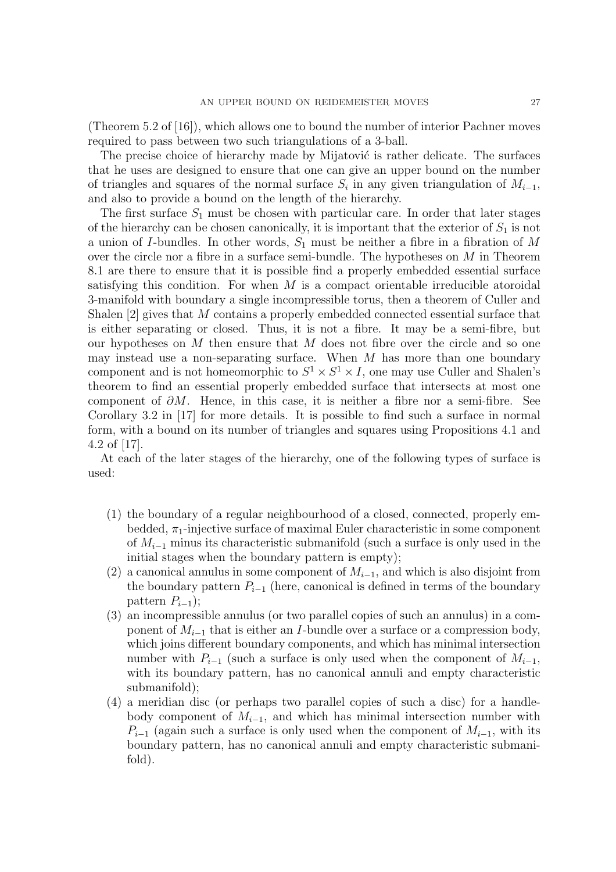(Theorem 5.2 of [16]), which allows one to bound the number of interior Pachner moves required to pass between two such triangulations of a 3-ball.

The precise choice of hierarchy made by Mijatović is rather delicate. The surfaces that he uses are designed to ensure that one can give an upper bound on the number of triangles and squares of the normal surface  $S_i$  in any given triangulation of  $M_{i-1}$ , and also to provide a bound on the length of the hierarchy.

The first surface  $S_1$  must be chosen with particular care. In order that later stages of the hierarchy can be chosen canonically, it is important that the exterior of  $S_1$  is not a union of *I*-bundles. In other words,  $S_1$  must be neither a fibre in a fibration of M over the circle nor a fibre in a surface semi-bundle. The hypotheses on  $M$  in Theorem 8.1 are there to ensure that it is possible find a properly embedded essential surface satisfying this condition. For when  $M$  is a compact orientable irreducible atoroidal 3-manifold with boundary a single incompressible torus, then a theorem of Culler and Shalen [2] gives that M contains a properly embedded connected essential surface that is either separating or closed. Thus, it is not a fibre. It may be a semi-fibre, but our hypotheses on  $M$  then ensure that  $M$  does not fibre over the circle and so one may instead use a non-separating surface. When  $M$  has more than one boundary component and is not homeomorphic to  $S^1 \times S^1 \times I$ , one may use Culler and Shalen's theorem to find an essential properly embedded surface that intersects at most one component of  $\partial M$ . Hence, in this case, it is neither a fibre nor a semi-fibre. See Corollary 3.2 in [17] for more details. It is possible to find such a surface in normal form, with a bound on its number of triangles and squares using Propositions 4.1 and 4.2 of [17].

At each of the later stages of the hierarchy, one of the following types of surface is used:

- (1) the boundary of a regular neighbourhood of a closed, connected, properly embedded,  $\pi_1$ -injective surface of maximal Euler characteristic in some component of  $M_{i-1}$  minus its characteristic submanifold (such a surface is only used in the initial stages when the boundary pattern is empty);
- (2) a canonical annulus in some component of  $M_{i-1}$ , and which is also disjoint from the boundary pattern  $P_{i-1}$  (here, canonical is defined in terms of the boundary pattern  $P_{i-1}$ );
- (3) an incompressible annulus (or two parallel copies of such an annulus) in a component of  $M_{i-1}$  that is either an I-bundle over a surface or a compression body, which joins different boundary components, and which has minimal intersection number with  $P_{i-1}$  (such a surface is only used when the component of  $M_{i-1}$ , with its boundary pattern, has no canonical annuli and empty characteristic submanifold);
- (4) a meridian disc (or perhaps two parallel copies of such a disc) for a handlebody component of  $M_{i-1}$ , and which has minimal intersection number with  $P_{i-1}$  (again such a surface is only used when the component of  $M_{i-1}$ , with its boundary pattern, has no canonical annuli and empty characteristic submanifold).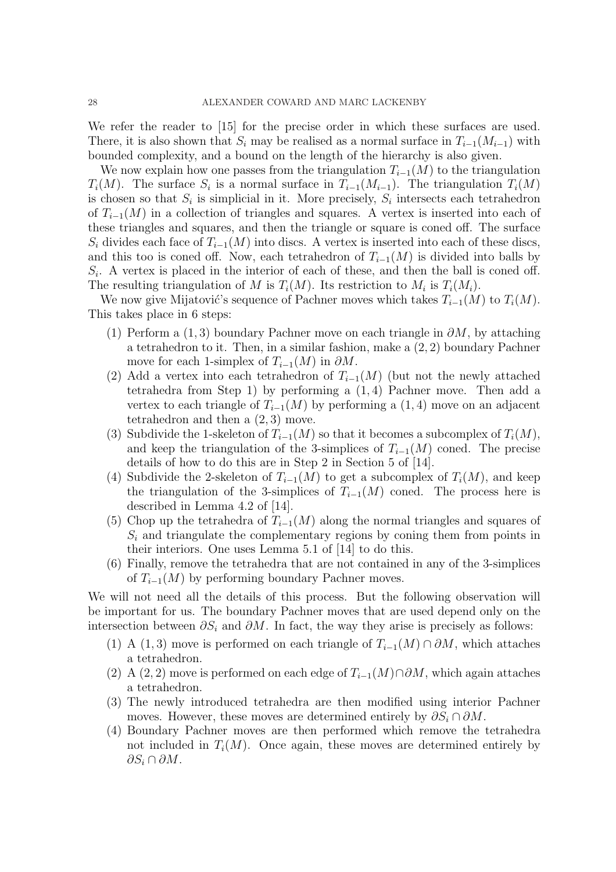We refer the reader to [15] for the precise order in which these surfaces are used. There, it is also shown that  $S_i$  may be realised as a normal surface in  $T_{i-1}(M_{i-1})$  with bounded complexity, and a bound on the length of the hierarchy is also given.

We now explain how one passes from the triangulation  $T_{i-1}(M)$  to the triangulation  $T_i(M)$ . The surface  $S_i$  is a normal surface in  $T_{i-1}(M_{i-1})$ . The triangulation  $T_i(M)$ is chosen so that  $S_i$  is simplicial in it. More precisely,  $S_i$  intersects each tetrahedron of  $T_{i-1}(M)$  in a collection of triangles and squares. A vertex is inserted into each of these triangles and squares, and then the triangle or square is coned off. The surface  $S_i$  divides each face of  $T_{i-1}(M)$  into discs. A vertex is inserted into each of these discs, and this too is coned off. Now, each tetrahedron of  $T_{i-1}(M)$  is divided into balls by  $S_i$ . A vertex is placed in the interior of each of these, and then the ball is coned off. The resulting triangulation of M is  $T_i(M)$ . Its restriction to  $M_i$  is  $T_i(M_i)$ .

We now give Mijatović's sequence of Pachner moves which takes  $T_{i-1}(M)$  to  $T_i(M)$ . This takes place in 6 steps:

- (1) Perform a (1,3) boundary Pachner move on each triangle in  $\partial M$ , by attaching a tetrahedron to it. Then, in a similar fashion, make a (2, 2) boundary Pachner move for each 1-simplex of  $T_{i-1}(M)$  in  $\partial M$ .
- (2) Add a vertex into each tetrahedron of  $T_{i-1}(M)$  (but not the newly attached tetrahedra from Step 1) by performing a (1, 4) Pachner move. Then add a vertex to each triangle of  $T_{i-1}(M)$  by performing a (1,4) move on an adjacent tetrahedron and then a  $(2, 3)$  move.
- (3) Subdivide the 1-skeleton of  $T_{i-1}(M)$  so that it becomes a subcomplex of  $T_i(M)$ , and keep the triangulation of the 3-simplices of  $T_{i-1}(M)$  coned. The precise details of how to do this are in Step 2 in Section 5 of [14].
- (4) Subdivide the 2-skeleton of  $T_{i-1}(M)$  to get a subcomplex of  $T_i(M)$ , and keep the triangulation of the 3-simplices of  $T_{i-1}(M)$  coned. The process here is described in Lemma 4.2 of [14].
- (5) Chop up the tetrahedra of  $T_{i-1}(M)$  along the normal triangles and squares of  $S_i$  and triangulate the complementary regions by coning them from points in their interiors. One uses Lemma 5.1 of [14] to do this.
- (6) Finally, remove the tetrahedra that are not contained in any of the 3-simplices of  $T_{i-1}(M)$  by performing boundary Pachner moves.

We will not need all the details of this process. But the following observation will be important for us. The boundary Pachner moves that are used depend only on the intersection between  $\partial S_i$  and  $\partial M$ . In fact, the way they arise is precisely as follows:

- (1) A (1,3) move is performed on each triangle of  $T_{i-1}(M) \cap \partial M$ , which attaches a tetrahedron.
- (2) A (2, 2) move is performed on each edge of  $T_{i-1}(M)\cap\partial M$ , which again attaches a tetrahedron.
- (3) The newly introduced tetrahedra are then modified using interior Pachner moves. However, these moves are determined entirely by  $\partial S_i \cap \partial M$ .
- (4) Boundary Pachner moves are then performed which remove the tetrahedra not included in  $T_i(M)$ . Once again, these moves are determined entirely by  $\partial S_i \cap \partial M$ .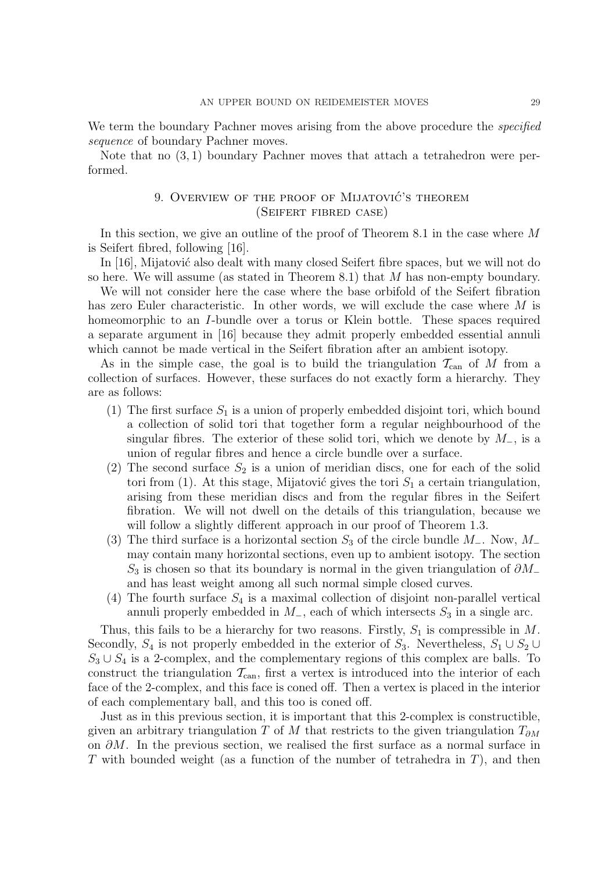We term the boundary Pachner moves arising from the above procedure the *specified sequence* of boundary Pachner moves.

Note that no (3, 1) boundary Pachner moves that attach a tetrahedron were performed.

# 9. OVERVIEW OF THE PROOF OF MIJATOVIĆ'S THEOREM (Seifert fibred case)

In this section, we give an outline of the proof of Theorem 8.1 in the case where M is Seifert fibred, following [16].

In [16], Mijatović also dealt with many closed Seifert fibre spaces, but we will not do so here. We will assume (as stated in Theorem 8.1) that M has non-empty boundary.

We will not consider here the case where the base orbifold of the Seifert fibration has zero Euler characteristic. In other words, we will exclude the case where M is homeomorphic to an *I*-bundle over a torus or Klein bottle. These spaces required a separate argument in [16] because they admit properly embedded essential annuli which cannot be made vertical in the Seifert fibration after an ambient isotopy.

As in the simple case, the goal is to build the triangulation  $\mathcal{T}_{\text{can}}$  of M from a collection of surfaces. However, these surfaces do not exactly form a hierarchy. They are as follows:

- (1) The first surface  $S_1$  is a union of properly embedded disjoint tori, which bound a collection of solid tori that together form a regular neighbourhood of the singular fibres. The exterior of these solid tori, which we denote by  $M_-,$  is a union of regular fibres and hence a circle bundle over a surface.
- (2) The second surface  $S_2$  is a union of meridian discs, one for each of the solid tori from (1). At this stage, Mijatović gives the tori  $S_1$  a certain triangulation, arising from these meridian discs and from the regular fibres in the Seifert fibration. We will not dwell on the details of this triangulation, because we will follow a slightly different approach in our proof of Theorem 1.3.
- (3) The third surface is a horizontal section  $S_3$  of the circle bundle  $M_-\$ . Now,  $M_-\$ may contain many horizontal sections, even up to ambient isotopy. The section  $S_3$  is chosen so that its boundary is normal in the given triangulation of  $\partial M_-\$ and has least weight among all such normal simple closed curves.
- (4) The fourth surface  $S_4$  is a maximal collection of disjoint non-parallel vertical annuli properly embedded in  $M_$ , each of which intersects  $S_3$  in a single arc.

Thus, this fails to be a hierarchy for two reasons. Firstly,  $S_1$  is compressible in M. Secondly,  $S_4$  is not properly embedded in the exterior of  $S_3$ . Nevertheless,  $S_1 \cup S_2 \cup$  $S_3 \cup S_4$  is a 2-complex, and the complementary regions of this complex are balls. To construct the triangulation  $\mathcal{T}_{\text{can}}$ , first a vertex is introduced into the interior of each face of the 2-complex, and this face is coned off. Then a vertex is placed in the interior of each complementary ball, and this too is coned off.

Just as in this previous section, it is important that this 2-complex is constructible, given an arbitrary triangulation T of M that restricts to the given triangulation  $T_{\partial M}$ on  $\partial M$ . In the previous section, we realised the first surface as a normal surface in T with bounded weight (as a function of the number of tetrahedra in  $T$ ), and then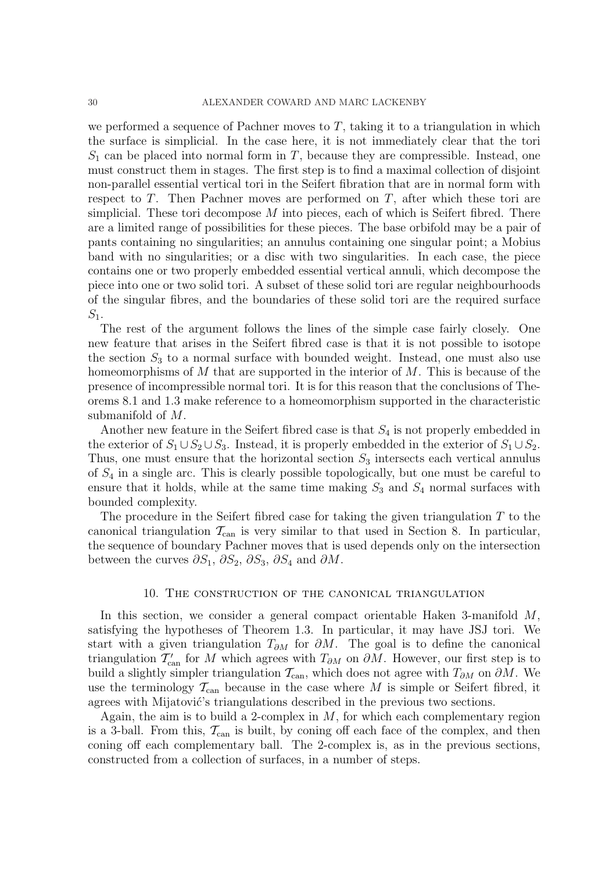we performed a sequence of Pachner moves to  $T$ , taking it to a triangulation in which the surface is simplicial. In the case here, it is not immediately clear that the tori  $S_1$  can be placed into normal form in T, because they are compressible. Instead, one must construct them in stages. The first step is to find a maximal collection of disjoint non-parallel essential vertical tori in the Seifert fibration that are in normal form with respect to  $T$ . Then Pachner moves are performed on  $T$ , after which these tori are simplicial. These tori decompose  $M$  into pieces, each of which is Seifert fibred. There are a limited range of possibilities for these pieces. The base orbifold may be a pair of pants containing no singularities; an annulus containing one singular point; a Mobius band with no singularities; or a disc with two singularities. In each case, the piece contains one or two properly embedded essential vertical annuli, which decompose the piece into one or two solid tori. A subset of these solid tori are regular neighbourhoods of the singular fibres, and the boundaries of these solid tori are the required surface  $S_1$ .

The rest of the argument follows the lines of the simple case fairly closely. One new feature that arises in the Seifert fibred case is that it is not possible to isotope the section  $S_3$  to a normal surface with bounded weight. Instead, one must also use homeomorphisms of  $M$  that are supported in the interior of  $M$ . This is because of the presence of incompressible normal tori. It is for this reason that the conclusions of Theorems 8.1 and 1.3 make reference to a homeomorphism supported in the characteristic submanifold of M.

Another new feature in the Seifert fibred case is that  $S_4$  is not properly embedded in the exterior of  $S_1 \cup S_2 \cup S_3$ . Instead, it is properly embedded in the exterior of  $S_1 \cup S_2$ . Thus, one must ensure that the horizontal section  $S_3$  intersects each vertical annulus of  $S_4$  in a single arc. This is clearly possible topologically, but one must be careful to ensure that it holds, while at the same time making  $S_3$  and  $S_4$  normal surfaces with bounded complexity.

The procedure in the Seifert fibred case for taking the given triangulation  $T$  to the canonical triangulation  $\mathcal{T}_{\text{can}}$  is very similar to that used in Section 8. In particular, the sequence of boundary Pachner moves that is used depends only on the intersection between the curves  $\partial S_1$ ,  $\partial S_2$ ,  $\partial S_3$ ,  $\partial S_4$  and  $\partial M$ .

## 10. The construction of the canonical triangulation

In this section, we consider a general compact orientable Haken 3-manifold M, satisfying the hypotheses of Theorem 1.3. In particular, it may have JSJ tori. We start with a given triangulation  $T_{\partial M}$  for  $\partial M$ . The goal is to define the canonical triangulation  $\mathcal{T}'_{\text{can}}$  for M which agrees with  $T_{\partial M}$  on  $\partial M$ . However, our first step is to build a slightly simpler triangulation  $\mathcal{T}_{\text{can}}$ , which does not agree with  $T_{\partial M}$  on  $\partial M$ . We use the terminology  $\mathcal{T}_{\text{can}}$  because in the case where M is simple or Seifert fibred, it agrees with Mijatović's triangulations described in the previous two sections.

Again, the aim is to build a 2-complex in  $M$ , for which each complementary region is a 3-ball. From this,  $\mathcal{T}_{\text{can}}$  is built, by coning off each face of the complex, and then coning off each complementary ball. The 2-complex is, as in the previous sections, constructed from a collection of surfaces, in a number of steps.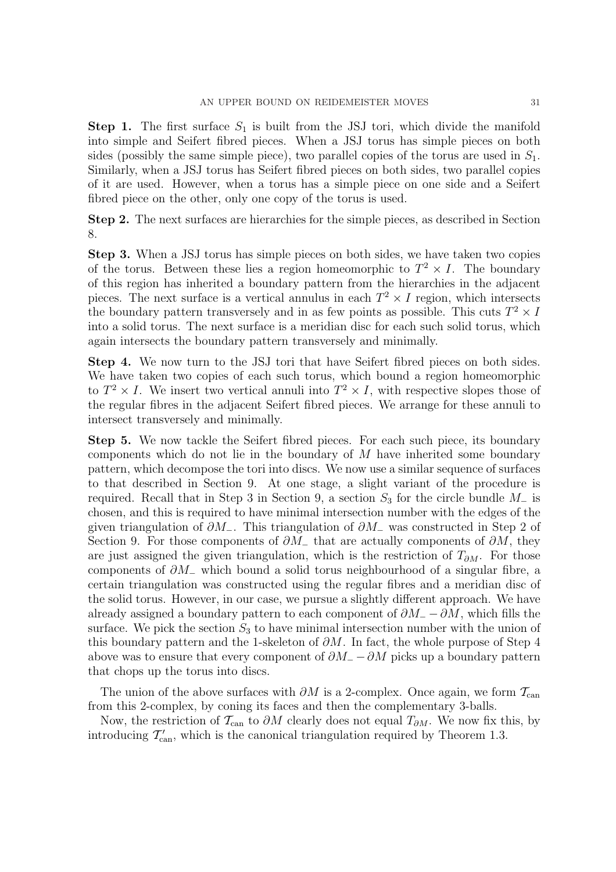**Step 1.** The first surface  $S_1$  is built from the JSJ tori, which divide the manifold into simple and Seifert fibred pieces. When a JSJ torus has simple pieces on both sides (possibly the same simple piece), two parallel copies of the torus are used in  $S_1$ . Similarly, when a JSJ torus has Seifert fibred pieces on both sides, two parallel copies of it are used. However, when a torus has a simple piece on one side and a Seifert fibred piece on the other, only one copy of the torus is used.

Step 2. The next surfaces are hierarchies for the simple pieces, as described in Section 8.

Step 3. When a JSJ torus has simple pieces on both sides, we have taken two copies of the torus. Between these lies a region homeomorphic to  $T^2 \times I$ . The boundary of this region has inherited a boundary pattern from the hierarchies in the adjacent pieces. The next surface is a vertical annulus in each  $T^2 \times I$  region, which intersects the boundary pattern transversely and in as few points as possible. This cuts  $T^2 \times I$ into a solid torus. The next surface is a meridian disc for each such solid torus, which again intersects the boundary pattern transversely and minimally.

Step 4. We now turn to the JSJ tori that have Seifert fibred pieces on both sides. We have taken two copies of each such torus, which bound a region homeomorphic to  $T^2 \times I$ . We insert two vertical annuli into  $T^2 \times I$ , with respective slopes those of the regular fibres in the adjacent Seifert fibred pieces. We arrange for these annuli to intersect transversely and minimally.

Step 5. We now tackle the Seifert fibred pieces. For each such piece, its boundary components which do not lie in the boundary of  $M$  have inherited some boundary pattern, which decompose the tori into discs. We now use a similar sequence of surfaces to that described in Section 9. At one stage, a slight variant of the procedure is required. Recall that in Step 3 in Section 9, a section  $S_3$  for the circle bundle  $M_-\$  is chosen, and this is required to have minimal intersection number with the edges of the given triangulation of  $\partial M_$ . This triangulation of  $\partial M_$  was constructed in Step 2 of Section 9. For those components of  $\partial M_-\$  that are actually components of  $\partial M$ , they are just assigned the given triangulation, which is the restriction of  $T_{\partial M}$ . For those components of  $\partial M$  which bound a solid torus neighbourhood of a singular fibre, a certain triangulation was constructed using the regular fibres and a meridian disc of the solid torus. However, in our case, we pursue a slightly different approach. We have already assigned a boundary pattern to each component of  $\partial M_ - \partial M$ , which fills the surface. We pick the section  $S_3$  to have minimal intersection number with the union of this boundary pattern and the 1-skeleton of  $\partial M$ . In fact, the whole purpose of Step 4 above was to ensure that every component of  $\partial M_ - \partial M$  picks up a boundary pattern that chops up the torus into discs.

The union of the above surfaces with  $\partial M$  is a 2-complex. Once again, we form  $\mathcal{T}_{\text{can}}$ from this 2-complex, by coning its faces and then the complementary 3-balls.

Now, the restriction of  $\mathcal{T}_{\text{can}}$  to  $\partial M$  clearly does not equal  $T_{\partial M}$ . We now fix this, by introducing  $\mathcal{T}'_{\text{can}}$ , which is the canonical triangulation required by Theorem 1.3.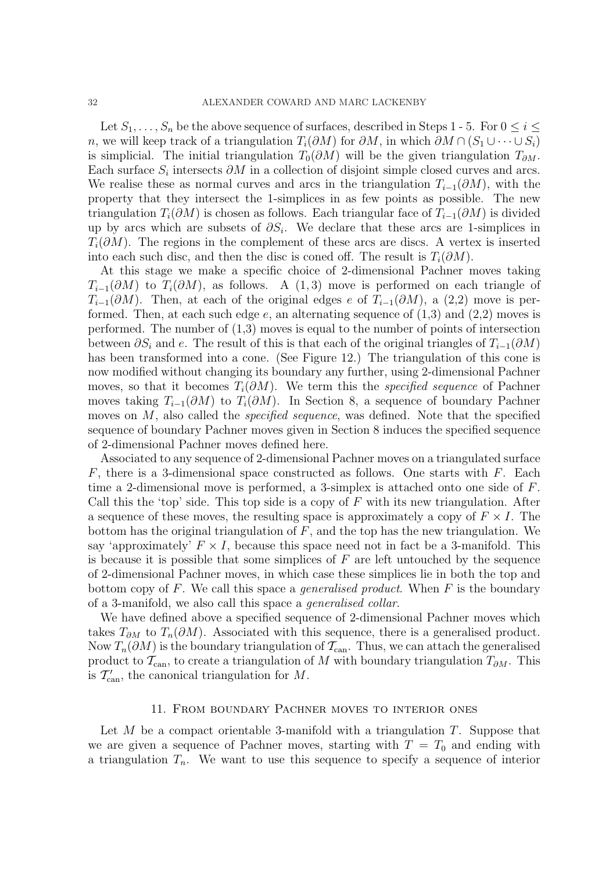Let  $S_1, \ldots, S_n$  be the above sequence of surfaces, described in Steps 1 - 5. For  $0 \leq i \leq$ n, we will keep track of a triangulation  $T_i(\partial M)$  for  $\partial M$ , in which  $\partial M \cap (S_1 \cup \cdots \cup S_i)$ is simplicial. The initial triangulation  $T_0(\partial M)$  will be the given triangulation  $T_{\partial M}$ . Each surface  $S_i$  intersects  $\partial M$  in a collection of disjoint simple closed curves and arcs. We realise these as normal curves and arcs in the triangulation  $T_{i-1}(\partial M)$ , with the property that they intersect the 1-simplices in as few points as possible. The new triangulation  $T_i(\partial M)$  is chosen as follows. Each triangular face of  $T_{i-1}(\partial M)$  is divided up by arcs which are subsets of  $\partial S_i$ . We declare that these arcs are 1-simplices in  $T_i(\partial M)$ . The regions in the complement of these arcs are discs. A vertex is inserted into each such disc, and then the disc is coned off. The result is  $T_i(\partial M)$ .

At this stage we make a specific choice of 2-dimensional Pachner moves taking  $T_{i-1}(\partial M)$  to  $T_i(\partial M)$ , as follows. A  $(1,3)$  move is performed on each triangle of  $T_{i-1}(\partial M)$ . Then, at each of the original edges e of  $T_{i-1}(\partial M)$ , a (2,2) move is performed. Then, at each such edge  $e$ , an alternating sequence of  $(1,3)$  and  $(2,2)$  moves is performed. The number of (1,3) moves is equal to the number of points of intersection between  $\partial S_i$  and e. The result of this is that each of the original triangles of  $T_{i-1}(\partial M)$ has been transformed into a cone. (See Figure 12.) The triangulation of this cone is now modified without changing its boundary any further, using 2-dimensional Pachner moves, so that it becomes  $T_i(\partial M)$ . We term this the *specified sequence* of Pachner moves taking  $T_{i-1}(\partial M)$  to  $T_i(\partial M)$ . In Section 8, a sequence of boundary Pachner moves on M, also called the *specified sequence*, was defined. Note that the specified sequence of boundary Pachner moves given in Section 8 induces the specified sequence of 2-dimensional Pachner moves defined here.

Associated to any sequence of 2-dimensional Pachner moves on a triangulated surface  $F$ , there is a 3-dimensional space constructed as follows. One starts with  $F$ . Each time a 2-dimensional move is performed, a 3-simplex is attached onto one side of F. Call this the 'top' side. This top side is a copy of  $F$  with its new triangulation. After a sequence of these moves, the resulting space is approximately a copy of  $F \times I$ . The bottom has the original triangulation of  $F$ , and the top has the new triangulation. We say 'approximately'  $F \times I$ , because this space need not in fact be a 3-manifold. This is because it is possible that some simplices of  $F$  are left untouched by the sequence of 2-dimensional Pachner moves, in which case these simplices lie in both the top and bottom copy of F. We call this space a *generalised product*. When F is the boundary of a 3-manifold, we also call this space a *generalised collar*.

We have defined above a specified sequence of 2-dimensional Pachner moves which takes  $T_{\partial M}$  to  $T_n(\partial M)$ . Associated with this sequence, there is a generalised product. Now  $T_n(\partial M)$  is the boundary triangulation of  $\mathcal{T}_{\text{can}}$ . Thus, we can attach the generalised product to  $\mathcal{T}_{\text{can}}$ , to create a triangulation of M with boundary triangulation  $T_{\partial M}$ . This is  $\mathcal{T}'_{\text{can}}$ , the canonical triangulation for M.

## 11. From boundary Pachner moves to interior ones

Let M be a compact orientable 3-manifold with a triangulation  $T$ . Suppose that we are given a sequence of Pachner moves, starting with  $T = T_0$  and ending with a triangulation  $T_n$ . We want to use this sequence to specify a sequence of interior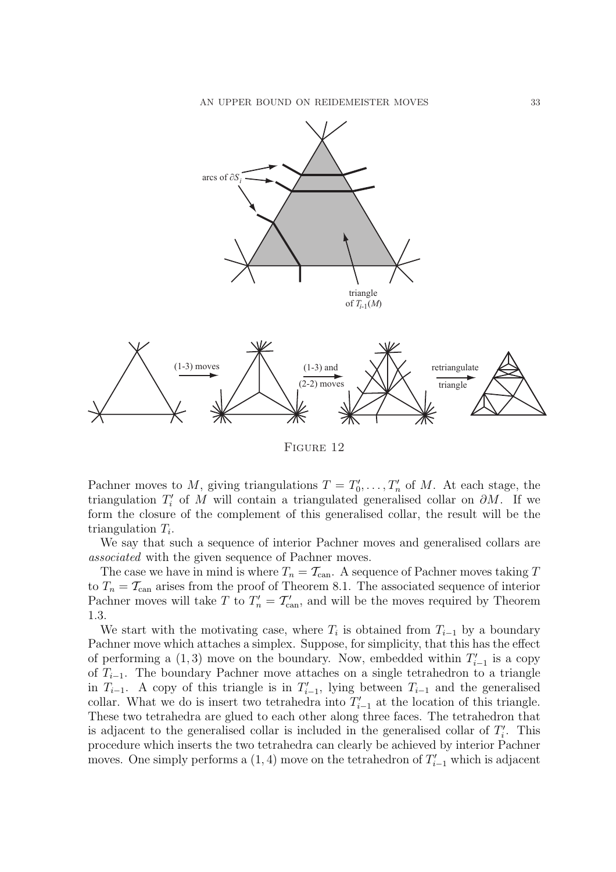

FIGURE 12

Pachner moves to M, giving triangulations  $T = T_0'$  $T'_0, \ldots, T'_n$  of M. At each stage, the triangulation  $T_i'$  $i<sub>i</sub>$  of M will contain a triangulated generalised collar on  $\partial M$ . If we form the closure of the complement of this generalised collar, the result will be the triangulation  $T_i$ .

We say that such a sequence of interior Pachner moves and generalised collars are *associated* with the given sequence of Pachner moves.

The case we have in mind is where  $T_n = T_{\text{can}}$ . A sequence of Pachner moves taking T to  $T_n = T_{\text{can}}$  arises from the proof of Theorem 8.1. The associated sequence of interior Pachner moves will take T to  $T'_n = T'_{\text{can}}$ , and will be the moves required by Theorem 1.3.

We start with the motivating case, where  $T_i$  is obtained from  $T_{i-1}$  by a boundary Pachner move which attaches a simplex. Suppose, for simplicity, that this has the effect of performing a  $(1,3)$  move on the boundary. Now, embedded within  $T'_{i-1}$  is a copy of  $T_{i-1}$ . The boundary Pachner move attaches on a single tetrahedron to a triangle in  $T_{i-1}$ . A copy of this triangle is in  $T'_{i-1}$ , lying between  $T_{i-1}$  and the generalised collar. What we do is insert two tetrahedra into  $T'_{i-1}$  at the location of this triangle. These two tetrahedra are glued to each other along three faces. The tetrahedron that is adjacent to the generalised collar is included in the generalised collar of  $T_i'$  $i$ . This procedure which inserts the two tetrahedra can clearly be achieved by interior Pachner moves. One simply performs a  $(1, 4)$  move on the tetrahedron of  $T'_{i-1}$  which is adjacent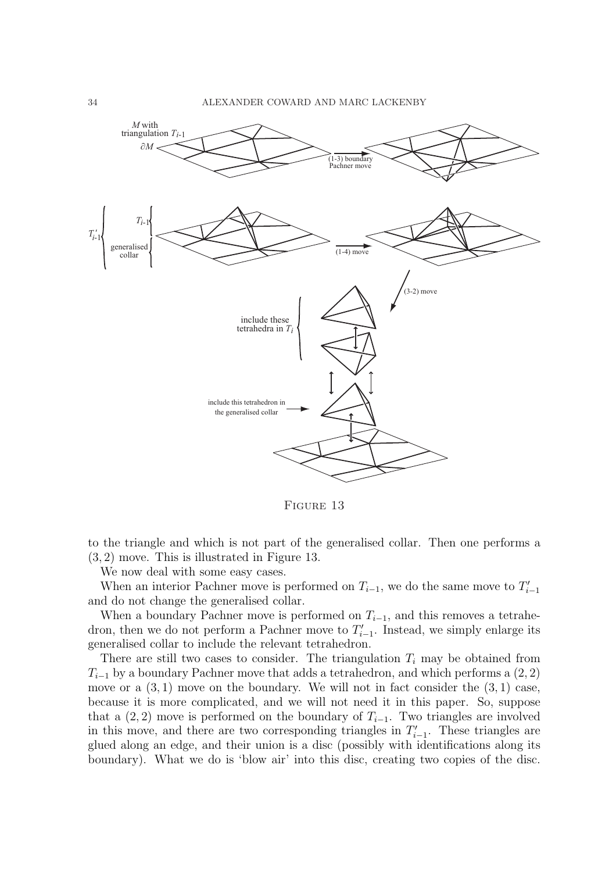

FIGURE 13

to the triangle and which is not part of the generalised collar. Then one performs a (3, 2) move. This is illustrated in Figure 13.

We now deal with some easy cases.

When an interior Pachner move is performed on  $T_{i-1}$ , we do the same move to  $T'_{i-1}$ and do not change the generalised collar.

When a boundary Pachner move is performed on  $T_{i-1}$ , and this removes a tetrahedron, then we do not perform a Pachner move to  $T'_{i-1}$ . Instead, we simply enlarge its generalised collar to include the relevant tetrahedron.

There are still two cases to consider. The triangulation  $T_i$  may be obtained from  $T_{i-1}$  by a boundary Pachner move that adds a tetrahedron, and which performs a (2, 2) move or a  $(3,1)$  move on the boundary. We will not in fact consider the  $(3,1)$  case, because it is more complicated, and we will not need it in this paper. So, suppose that a  $(2, 2)$  move is performed on the boundary of  $T_{i-1}$ . Two triangles are involved in this move, and there are two corresponding triangles in  $T'_{i-1}$ . These triangles are glued along an edge, and their union is a disc (possibly with identifications along its boundary). What we do is 'blow air' into this disc, creating two copies of the disc.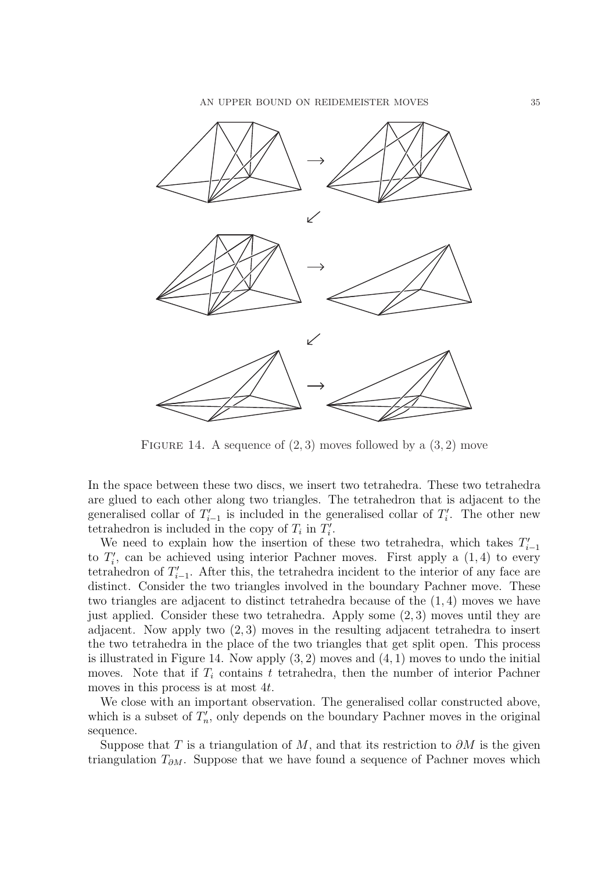

FIGURE 14. A sequence of  $(2,3)$  moves followed by a  $(3,2)$  move

In the space between these two discs, we insert two tetrahedra. These two tetrahedra are glued to each other along two triangles. The tetrahedron that is adjacent to the generalised collar of  $T'_{i-1}$  is included in the generalised collar of  $T'_{i}$  $i$ . The other new tetrahedron is included in the copy of  $T_i$  in  $T_i'$ ''.

We need to explain how the insertion of these two tetrahedra, which takes  $T'_{i-1}$ to  $T_i'$  $i'$ , can be achieved using interior Pachner moves. First apply a  $(1, 4)$  to every tetrahedron of  $T_{i-1}'$ . After this, the tetrahedra incident to the interior of any face are distinct. Consider the two triangles involved in the boundary Pachner move. These two triangles are adjacent to distinct tetrahedra because of the (1, 4) moves we have just applied. Consider these two tetrahedra. Apply some (2, 3) moves until they are adjacent. Now apply two (2, 3) moves in the resulting adjacent tetrahedra to insert the two tetrahedra in the place of the two triangles that get split open. This process is illustrated in Figure 14. Now apply  $(3, 2)$  moves and  $(4, 1)$  moves to undo the initial moves. Note that if  $T_i$  contains t tetrahedra, then the number of interior Pachner moves in this process is at most 4t.

We close with an important observation. The generalised collar constructed above, which is a subset of  $T'_n$  $n'$ , only depends on the boundary Pachner moves in the original sequence.

Suppose that T is a triangulation of M, and that its restriction to  $\partial M$  is the given triangulation  $T_{\partial M}$ . Suppose that we have found a sequence of Pachner moves which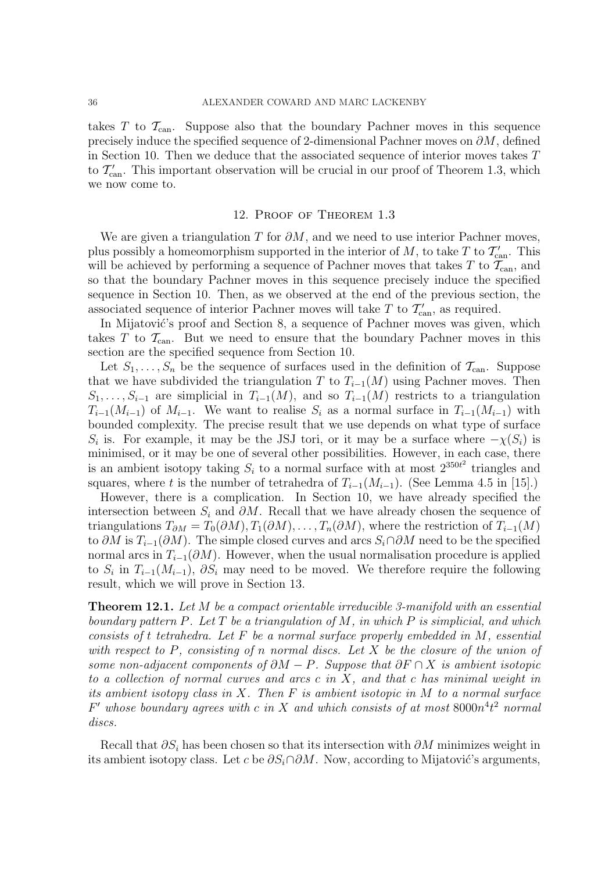takes T to  $\mathcal{T}_{\text{can}}$ . Suppose also that the boundary Pachner moves in this sequence precisely induce the specified sequence of 2-dimensional Pachner moves on  $\partial M$ , defined in Section 10. Then we deduce that the associated sequence of interior moves takes T to  $\mathcal{T}'_{\text{can}}$ . This important observation will be crucial in our proof of Theorem 1.3, which we now come to.

## 12. Proof of Theorem 1.3

We are given a triangulation T for  $\partial M$ , and we need to use interior Pachner moves, plus possibly a homeomorphism supported in the interior of  $M$ , to take  $T$  to  $\mathcal{T}'_{\text{can}}$ . This will be achieved by performing a sequence of Pachner moves that takes  $T$  to  $\mathcal{T}_{\text{can}}$ , and so that the boundary Pachner moves in this sequence precisely induce the specified sequence in Section 10. Then, as we observed at the end of the previous section, the associated sequence of interior Pachner moves will take T to  $\mathcal{T}'_{\text{can}}$ , as required.

In Mijatović's proof and Section 8, a sequence of Pachner moves was given, which takes T to  $\mathcal{T}_{\text{can}}$ . But we need to ensure that the boundary Pachner moves in this section are the specified sequence from Section 10.

Let  $S_1, \ldots, S_n$  be the sequence of surfaces used in the definition of  $\mathcal{T}_{\text{can}}$ . Suppose that we have subdivided the triangulation T to  $T_{i-1}(M)$  using Pachner moves. Then  $S_1, \ldots, S_{i-1}$  are simplicial in  $T_{i-1}(M)$ , and so  $T_{i-1}(M)$  restricts to a triangulation  $T_{i-1}(M_{i-1})$  of  $M_{i-1}$ . We want to realise  $S_i$  as a normal surface in  $T_{i-1}(M_{i-1})$  with bounded complexity. The precise result that we use depends on what type of surface  $S_i$  is. For example, it may be the JSJ tori, or it may be a surface where  $-\chi(S_i)$  is minimised, or it may be one of several other possibilities. However, in each case, there is an ambient isotopy taking  $S_i$  to a normal surface with at most  $2^{350t^2}$  triangles and squares, where t is the number of tetrahedra of  $T_{i-1}(M_{i-1})$ . (See Lemma 4.5 in [15].)

However, there is a complication. In Section 10, we have already specified the intersection between  $S_i$  and  $\partial M$ . Recall that we have already chosen the sequence of triangulations  $T_{\partial M} = T_0(\partial M), T_1(\partial M), \ldots, T_n(\partial M)$ , where the restriction of  $T_{i-1}(M)$ to  $\partial M$  is  $T_{i-1}(\partial M)$ . The simple closed curves and arcs  $S_i \cap \partial M$  need to be the specified normal arcs in  $T_{i-1}(\partial M)$ . However, when the usual normalisation procedure is applied to  $S_i$  in  $T_{i-1}(M_{i-1}), \partial S_i$  may need to be moved. We therefore require the following result, which we will prove in Section 13.

Theorem 12.1. *Let* M *be a compact orientable irreducible 3-manifold with an essential boundary pattern* P*. Let* T *be a triangulation of* M*, in which* P *is simplicial, and which consists of* t *tetrahedra. Let* F *be a normal surface properly embedded in* M*, essential with respect to* P*, consisting of* n *normal discs. Let* X *be the closure of the union of some non-adjacent components of*  $\partial M - P$ *. Suppose that*  $\partial F \cap X$  *is ambient isotopic to a collection of normal curves and arcs* c *in* X*, and that* c *has minimal weight in its ambient isotopy class in* X*. Then* F *is ambient isotopic in* M *to a normal surface* F ′ *whose boundary agrees with* c *in* X *and which consists of at most* 8000n 4 t <sup>2</sup> *normal discs.*

Recall that  $\partial S_i$  has been chosen so that its intersection with  $\partial M$  minimizes weight in its ambient isotopy class. Let c be  $\partial S_i \cap \partial M$ . Now, according to Mijatović's arguments,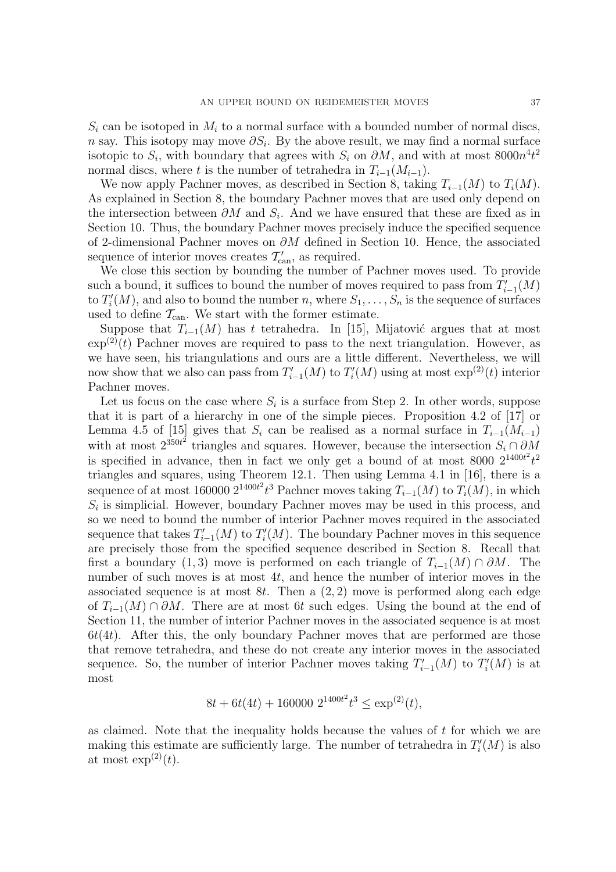$S_i$  can be isotoped in  $M_i$  to a normal surface with a bounded number of normal discs, n say. This isotopy may move  $\partial S_i$ . By the above result, we may find a normal surface isotopic to  $S_i$ , with boundary that agrees with  $S_i$  on  $\partial M$ , and with at most  $8000n^4t^2$ normal discs, where t is the number of tetrahedra in  $T_{i-1}(M_{i-1})$ .

We now apply Pachner moves, as described in Section 8, taking  $T_{i-1}(M)$  to  $T_i(M)$ . As explained in Section 8, the boundary Pachner moves that are used only depend on the intersection between  $\partial M$  and  $S_i$ . And we have ensured that these are fixed as in Section 10. Thus, the boundary Pachner moves precisely induce the specified sequence of 2-dimensional Pachner moves on  $\partial M$  defined in Section 10. Hence, the associated sequence of interior moves creates  $\mathcal{T}'_{\text{can}}$ , as required.

We close this section by bounding the number of Pachner moves used. To provide such a bound, it suffices to bound the number of moves required to pass from  $T'_{i-1}(M)$ to  $T_i'$  $i(M)$ , and also to bound the number n, where  $S_1, \ldots, S_n$  is the sequence of surfaces used to define  $\mathcal{T}_{\text{can}}$ . We start with the former estimate.

Suppose that  $T_{i-1}(M)$  has t tetrahedra. In [15], Mijatović argues that at most  $\exp^{(2)}(t)$  Pachner moves are required to pass to the next triangulation. However, as we have seen, his triangulations and ours are a little different. Nevertheless, we will now show that we also can pass from  $T'_{i-1}(M)$  to  $T'_{i}$  $i(M)$  using at most  $\exp^{(2)}(t)$  interior Pachner moves.

Let us focus on the case where  $S_i$  is a surface from Step 2. In other words, suppose that it is part of a hierarchy in one of the simple pieces. Proposition 4.2 of [17] or Lemma 4.5 of [15] gives that  $S_i$  can be realised as a normal surface in  $T_{i-1}(M_{i-1})$ with at most  $2^{350t^2}$  triangles and squares. However, because the intersection  $S_i \cap \partial M$ is specified in advance, then in fact we only get a bound of at most 8000  $2^{1400t^2}t^2$ triangles and squares, using Theorem 12.1. Then using Lemma 4.1 in [16], there is a sequence of at most 160000  $2^{1400t^2}t^3$  Pachner moves taking  $T_{i-1}(M)$  to  $T_i(M)$ , in which  $S_i$  is simplicial. However, boundary Pachner moves may be used in this process, and so we need to bound the number of interior Pachner moves required in the associated sequence that takes  $T'_{i-1}(M)$  to  $T'_{i}$  $i<sub>i</sub>(M)$ . The boundary Pachner moves in this sequence are precisely those from the specified sequence described in Section 8. Recall that first a boundary (1,3) move is performed on each triangle of  $T_{i-1}(M) \cap \partial M$ . The number of such moves is at most 4t, and hence the number of interior moves in the associated sequence is at most  $8t$ . Then a  $(2, 2)$  move is performed along each edge of  $T_{i-1}(M) \cap \partial M$ . There are at most 6t such edges. Using the bound at the end of Section 11, the number of interior Pachner moves in the associated sequence is at most  $6t(4t)$ . After this, the only boundary Pachner moves that are performed are those that remove tetrahedra, and these do not create any interior moves in the associated sequence. So, the number of interior Pachner moves taking  $T'_{i-1}(M)$  to  $T'_{i}$  $C_i^{\prime}(M)$  is at most

$$
8t + 6t(4t) + 160000 \ 2^{1400t^2} t^3 \le \exp^{(2)}(t),
$$

as claimed. Note that the inequality holds because the values of  $t$  for which we are making this estimate are sufficiently large. The number of tetrahedra in  $T_i'$  $C_i^{\prime}(M)$  is also at most  $\exp^{(2)}(t)$ .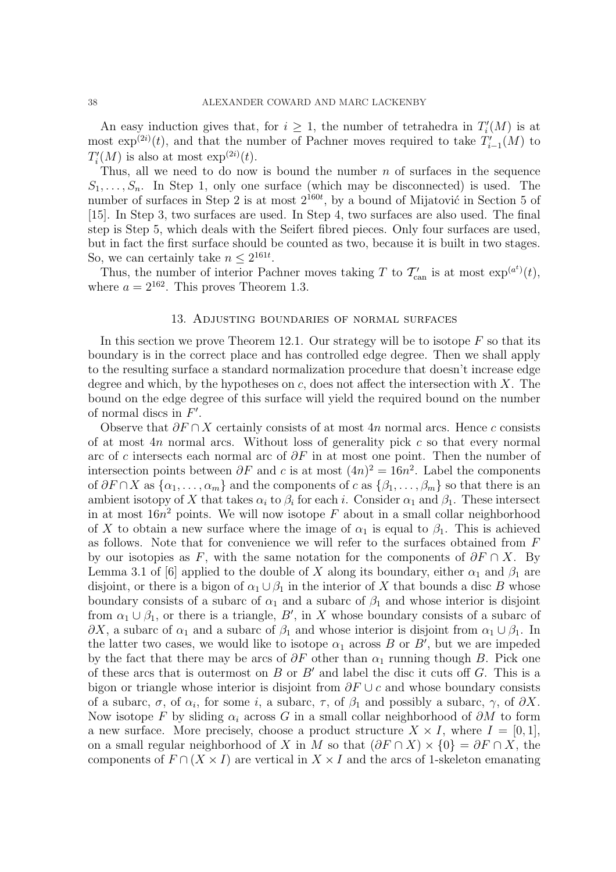An easy induction gives that, for  $i \geq 1$ , the number of tetrahedra in  $T_i'$  $C_i^{\prime}(M)$  is at most  $\exp^{(2i)}(t)$ , and that the number of Pachner moves required to take  $T'_{i-1}(M)$  to  $T_i'$  $i'(M)$  is also at most  $\exp^{(2i)}(t)$ .

Thus, all we need to do now is bound the number  $n$  of surfaces in the sequence  $S_1, \ldots, S_n$ . In Step 1, only one surface (which may be disconnected) is used. The number of surfaces in Step 2 is at most  $2^{160t}$ , by a bound of Mijatović in Section 5 of [15]. In Step 3, two surfaces are used. In Step 4, two surfaces are also used. The final step is Step 5, which deals with the Seifert fibred pieces. Only four surfaces are used, but in fact the first surface should be counted as two, because it is built in two stages. So, we can certainly take  $n \leq 2^{161t}$ .

Thus, the number of interior Pachner moves taking T to  $\mathcal{T}'_{\text{can}}$  is at most  $\exp^{(a^t)}(t)$ , where  $a = 2^{162}$ . This proves Theorem 1.3.

#### 13. Adjusting boundaries of normal surfaces

In this section we prove Theorem 12.1. Our strategy will be to isotope  $F$  so that its boundary is in the correct place and has controlled edge degree. Then we shall apply to the resulting surface a standard normalization procedure that doesn't increase edge degree and which, by the hypotheses on  $c$ , does not affect the intersection with X. The bound on the edge degree of this surface will yield the required bound on the number of normal discs in  $F'$ .

Observe that  $\partial F \cap X$  certainly consists of at most 4n normal arcs. Hence c consists of at most  $4n$  normal arcs. Without loss of generality pick c so that every normal arc of c intersects each normal arc of  $\partial F$  in at most one point. Then the number of intersection points between  $\partial F$  and c is at most  $(4n)^2 = 16n^2$ . Label the components of  $\partial F \cap X$  as  $\{\alpha_1, \ldots, \alpha_m\}$  and the components of c as  $\{\beta_1, \ldots, \beta_m\}$  so that there is an ambient isotopy of X that takes  $\alpha_i$  to  $\beta_i$  for each i. Consider  $\alpha_1$  and  $\beta_1$ . These intersect in at most  $16n^2$  points. We will now isotope  $F$  about in a small collar neighborhood of X to obtain a new surface where the image of  $\alpha_1$  is equal to  $\beta_1$ . This is achieved as follows. Note that for convenience we will refer to the surfaces obtained from F by our isotopies as F, with the same notation for the components of  $\partial F \cap X$ . By Lemma 3.1 of [6] applied to the double of X along its boundary, either  $\alpha_1$  and  $\beta_1$  are disjoint, or there is a bigon of  $\alpha_1 \cup \beta_1$  in the interior of X that bounds a disc B whose boundary consists of a subarc of  $\alpha_1$  and a subarc of  $\beta_1$  and whose interior is disjoint from  $\alpha_1 \cup \beta_1$ , or there is a triangle, B', in X whose boundary consists of a subarc of  $\partial X$ , a subarc of  $\alpha_1$  and a subarc of  $\beta_1$  and whose interior is disjoint from  $\alpha_1 \cup \beta_1$ . In the latter two cases, we would like to isotope  $\alpha_1$  across B or B<sup>'</sup>, but we are impeded by the fact that there may be arcs of  $\partial F$  other than  $\alpha_1$  running though B. Pick one of these arcs that is outermost on  $B$  or  $B'$  and label the disc it cuts off  $G$ . This is a bigon or triangle whose interior is disjoint from  $\partial F \cup c$  and whose boundary consists of a subarc,  $\sigma$ , of  $\alpha_i$ , for some i, a subarc,  $\tau$ , of  $\beta_1$  and possibly a subarc,  $\gamma$ , of  $\partial X$ . Now isotope F by sliding  $\alpha_i$  across G in a small collar neighborhood of  $\partial M$  to form a new surface. More precisely, choose a product structure  $X \times I$ , where  $I = [0, 1]$ , on a small regular neighborhood of X in M so that  $(\partial F \cap X) \times \{0\} = \partial F \cap X$ , the components of  $F \cap (X \times I)$  are vertical in  $X \times I$  and the arcs of 1-skeleton emanating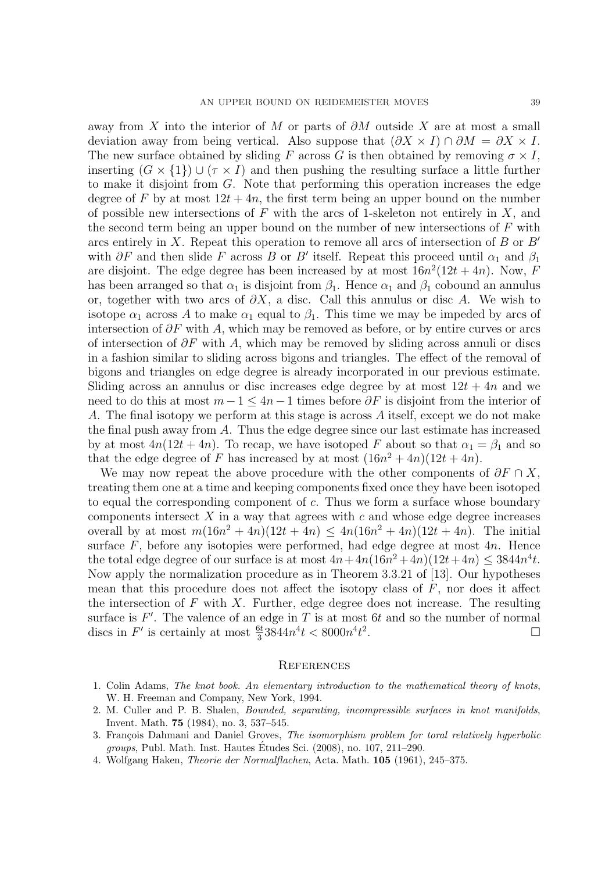away from X into the interior of M or parts of  $\partial M$  outside X are at most a small deviation away from being vertical. Also suppose that  $(\partial X \times I) \cap \partial M = \partial X \times I$ . The new surface obtained by sliding F across G is then obtained by removing  $\sigma \times I$ , inserting  $(G \times \{1\}) \cup (\tau \times I)$  and then pushing the resulting surface a little further to make it disjoint from G. Note that performing this operation increases the edge degree of F by at most  $12t + 4n$ , the first term being an upper bound on the number of possible new intersections of F with the arcs of 1-skeleton not entirely in X, and the second term being an upper bound on the number of new intersections of  $F$  with arcs entirely in X. Repeat this operation to remove all arcs of intersection of B or  $B'$ with  $\partial F$  and then slide F across B or B' itself. Repeat this proceed until  $\alpha_1$  and  $\beta_1$ are disjoint. The edge degree has been increased by at most  $16n^2(12t + 4n)$ . Now, F has been arranged so that  $\alpha_1$  is disjoint from  $\beta_1$ . Hence  $\alpha_1$  and  $\beta_1$  cobound an annulus or, together with two arcs of  $\partial X$ , a disc. Call this annulus or disc A. We wish to isotope  $\alpha_1$  across A to make  $\alpha_1$  equal to  $\beta_1$ . This time we may be impeded by arcs of intersection of  $\partial F$  with A, which may be removed as before, or by entire curves or arcs of intersection of  $\partial F$  with A, which may be removed by sliding across annuli or discs in a fashion similar to sliding across bigons and triangles. The effect of the removal of bigons and triangles on edge degree is already incorporated in our previous estimate. Sliding across an annulus or disc increases edge degree by at most  $12t + 4n$  and we need to do this at most  $m-1 \leq 4n-1$  times before  $\partial F$  is disjoint from the interior of A. The final isotopy we perform at this stage is across A itself, except we do not make the final push away from  $A$ . Thus the edge degree since our last estimate has increased by at most  $4n(12t + 4n)$ . To recap, we have isotoped F about so that  $\alpha_1 = \beta_1$  and so that the edge degree of F has increased by at most  $(16n^2 + 4n)(12t + 4n)$ .

We may now repeat the above procedure with the other components of  $\partial F \cap X$ , treating them one at a time and keeping components fixed once they have been isotoped to equal the corresponding component of c. Thus we form a surface whose boundary components intersect  $X$  in a way that agrees with  $c$  and whose edge degree increases overall by at most  $m(16n^2 + 4n)(12t + 4n) \leq 4n(16n^2 + 4n)(12t + 4n)$ . The initial surface  $F$ , before any isotopies were performed, had edge degree at most  $4n$ . Hence the total edge degree of our surface is at most  $4n + 4n(16n^2 + 4n)(12t+4n) \leq 3844n^4t$ . Now apply the normalization procedure as in Theorem 3.3.21 of [13]. Our hypotheses mean that this procedure does not affect the isotopy class of  $F$ , nor does it affect the intersection of  $F$  with  $X$ . Further, edge degree does not increase. The resulting surface is  $F'$ . The valence of an edge in T is at most 6t and so the number of normal discs in F' is certainly at most  $\frac{6t}{3}3844n^4t < 8000n^4t^2$ .

#### **REFERENCES**

- 1. Colin Adams, *The knot book. An elementary introduction to the mathematical theory of knots*, W. H. Freeman and Company, New York, 1994.
- 2. M. Culler and P. B. Shalen, *Bounded, separating, incompressible surfaces in knot manifolds*, Invent. Math. 75 (1984), no. 3, 537–545.
- 3. François Dahmani and Daniel Groves, *The isomorphism problem for toral relatively hyperbolic groups*, Publ. Math. Inst. Hautes Etudes Sci. (2008), no. 107, 211–290. ´
- 4. Wolfgang Haken, *Theorie der Normalflachen*, Acta. Math. 105 (1961), 245–375.